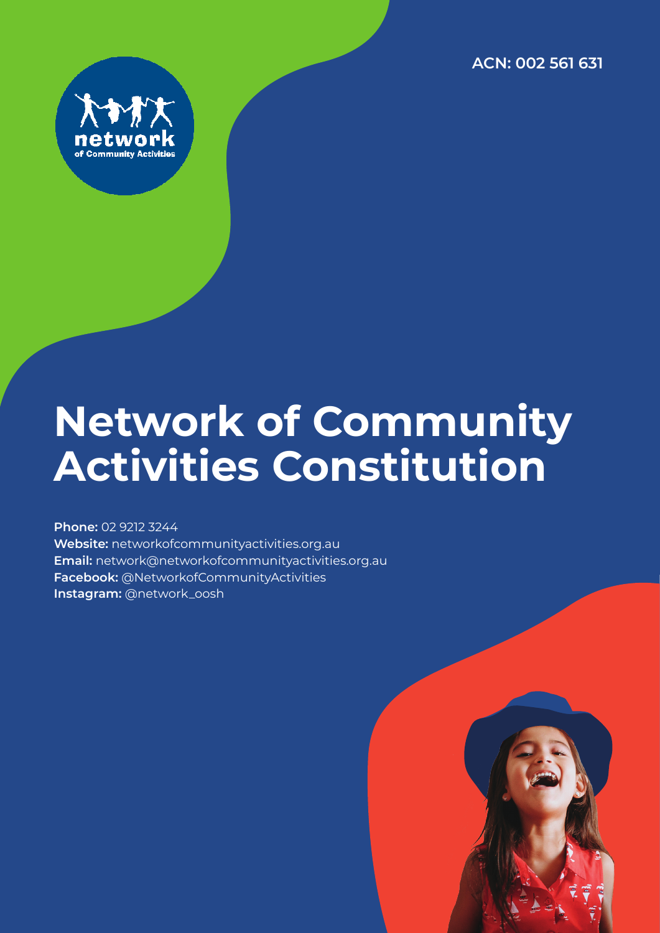**ACN: 002 561 631**



# **Network of Community Activities Constitution**

**Phone:** 02 9212 3244 **Website:** networkofcommunityactivities.org.au **Email:** network@networkofcommunityactivities.org.au **Facebook:** @NetworkofCommunityActivities **Instagram:** @network\_oosh

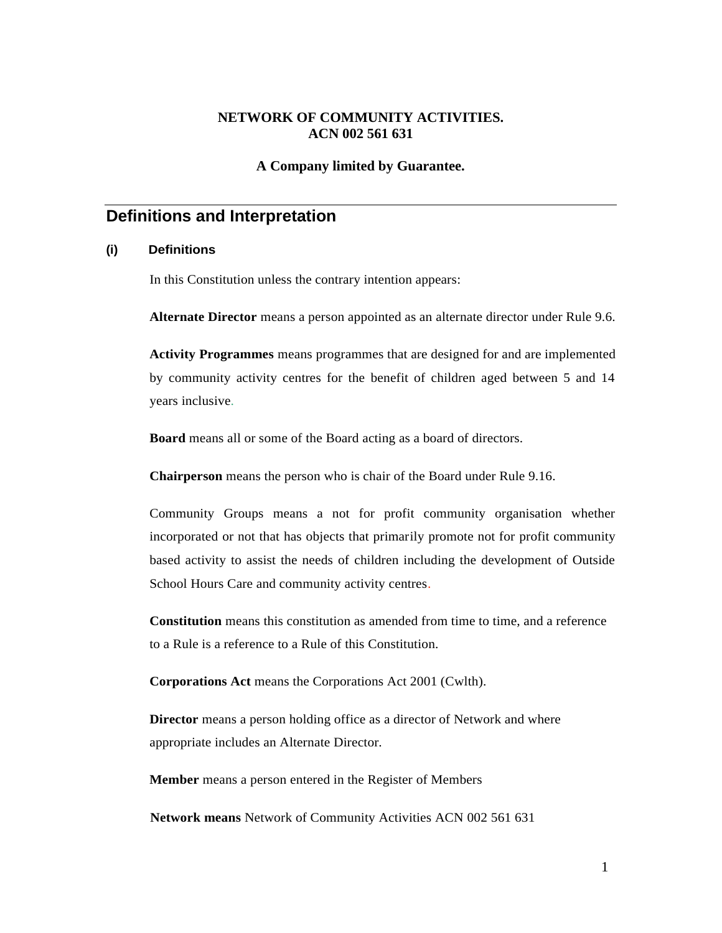### **NETWORK OF COMMUNITY ACTIVITIES. ACN 002 561 631**

### **A Company limited by Guarantee.**

# **Definitions and Interpretation**

### **(i) Definitions**

In this Constitution unless the contrary intention appears:

**Alternate Director** means a person appointed as an alternate director under Rule 9.6.

**Activity Programmes** means programmes that are designed for and are implemented by community activity centres for the benefit of children aged between 5 and 14 years inclusive.

**Board** means all or some of the Board acting as a board of directors.

**Chairperson** means the person who is chair of the Board under Rule 9.16.

Community Groups means a not for profit community organisation whether incorporated or not that has objects that primarily promote not for profit community based activity to assist the needs of children including the development of Outside School Hours Care and community activity centres.

**Constitution** means this constitution as amended from time to time, and a reference to a Rule is a reference to a Rule of this Constitution.

**Corporations Act** means the Corporations Act 2001 (Cwlth).

**Director** means a person holding office as a director of Network and where appropriate includes an Alternate Director.

**Member** means a person entered in the Register of Members

**Network means** Network of Community Activities ACN 002 561 631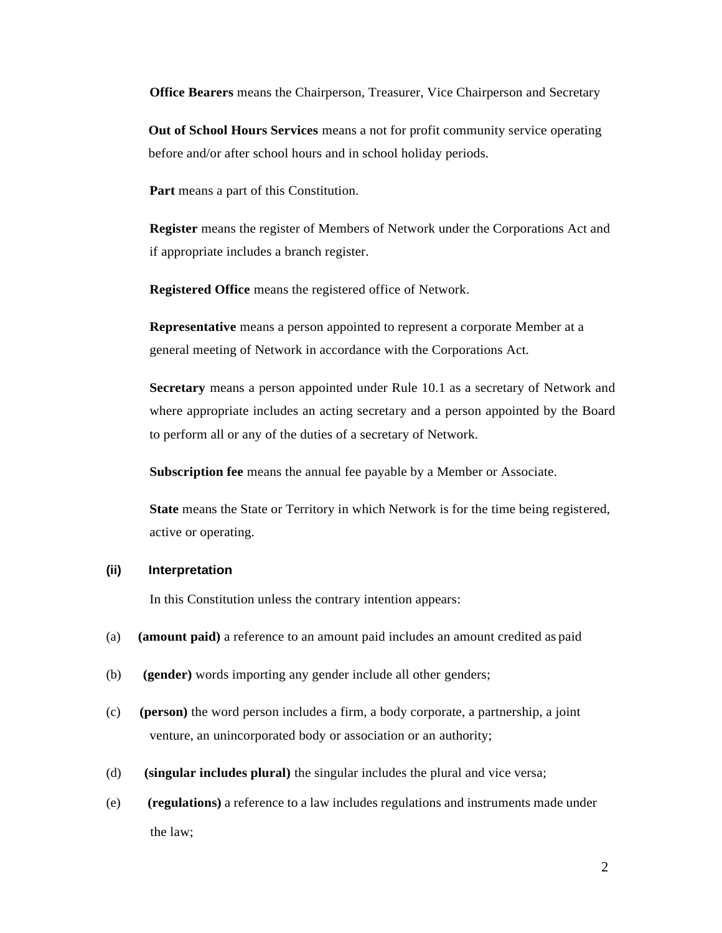**Office Bearers** means the Chairperson, Treasurer, Vice Chairperson and Secretary

**Out of School Hours Services** means a not for profit community service operating before and/or after school hours and in school holiday periods.

**Part** means a part of this Constitution.

**Register** means the register of Members of Network under the Corporations Act and if appropriate includes a branch register.

**Registered Office** means the registered office of Network.

**Representative** means a person appointed to represent a corporate Member at a general meeting of Network in accordance with the Corporations Act.

**Secretary** means a person appointed under Rule 10.1 as a secretary of Network and where appropriate includes an acting secretary and a person appointed by the Board to perform all or any of the duties of a secretary of Network.

**Subscription fee** means the annual fee payable by a Member or Associate.

**State** means the State or Territory in which Network is for the time being registered, active or operating.

### **(ii) Interpretation**

In this Constitution unless the contrary intention appears:

- (a) **(amount paid)** a reference to an amount paid includes an amount credited as paid
- (b) **(gender)** words importing any gender include all other genders;
- (c) **(person)** the word person includes a firm, a body corporate, a partnership, a joint venture, an unincorporated body or association or an authority;
- (d) **(singular includes plural)** the singular includes the plural and vice versa;
- (e) **(regulations)** a reference to a law includes regulations and instruments made under the law;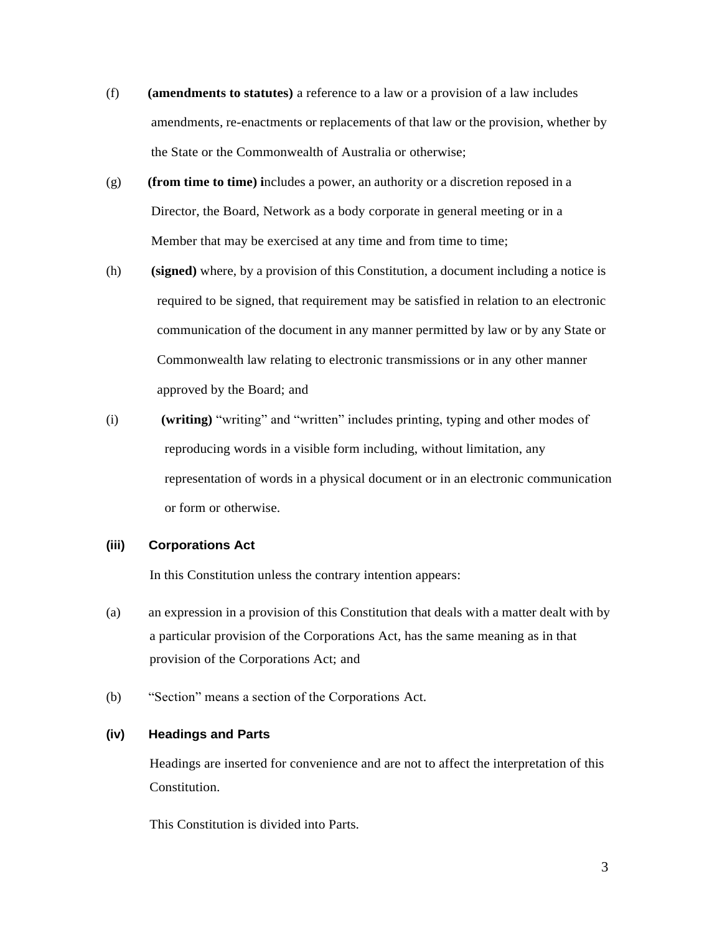- (f) **(amendments to statutes)** a reference to a law or a provision of a law includes amendments, re-enactments or replacements of that law or the provision, whether by the State or the Commonwealth of Australia or otherwise;
- (g) **(from time to time) i**ncludes a power, an authority or a discretion reposed in a Director, the Board, Network as a body corporate in general meeting or in a Member that may be exercised at any time and from time to time;
- (h) **(signed)** where, by a provision of this Constitution, a document including a notice is required to be signed, that requirement may be satisfied in relation to an electronic communication of the document in any manner permitted by law or by any State or Commonwealth law relating to electronic transmissions or in any other manner approved by the Board; and
- (i) **(writing)** "writing" and "written" includes printing, typing and other modes of reproducing words in a visible form including, without limitation, any representation of words in a physical document or in an electronic communication or form or otherwise.

### **(iii) Corporations Act**

In this Constitution unless the contrary intention appears:

- (a) an expression in a provision of this Constitution that deals with a matter dealt with by a particular provision of the Corporations Act, has the same meaning as in that provision of the Corporations Act; and
- (b) "Section" means a section of the Corporations Act.

### **(iv) Headings and Parts**

Headings are inserted for convenience and are not to affect the interpretation of this **Constitution** 

This Constitution is divided into Parts.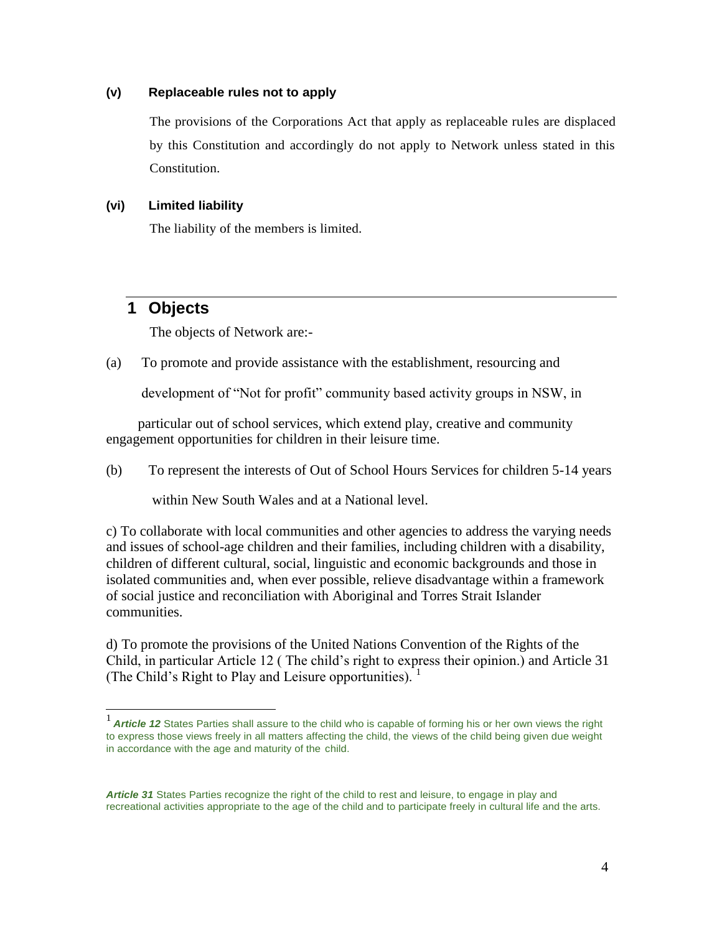### **(v) Replaceable rules not to apply**

The provisions of the Corporations Act that apply as replaceable rules are displaced by this Constitution and accordingly do not apply to Network unless stated in this Constitution.

### **(vi) Limited liability**

The liability of the members is limited.

### **1 Objects**

The objects of Network are:-

(a) To promote and provide assistance with the establishment, resourcing and

development of "Not for profit" community based activity groups in NSW, in

particular out of school services, which extend play, creative and community engagement opportunities for children in their leisure time.

(b) To represent the interests of Out of School Hours Services for children 5-14 years

within New South Wales and at a National level.

c) To collaborate with local communities and other agencies to address the varying needs and issues of school-age children and their families, including children with a disability, children of different cultural, social, linguistic and economic backgrounds and those in isolated communities and, when ever possible, relieve disadvantage within a framework of social justice and reconciliation with Aboriginal and Torres Strait Islander communities.

d) To promote the provisions of the United Nations Convention of the Rights of the Child, in particular Article 12 ( The child's right to express their opinion.) and Article 31 (The Child's Right to Play and Leisure opportunities).  $<sup>1</sup>$ </sup>

<sup>1</sup>*Article 12* States Parties shall assure to the child who is capable of forming his or her own views the right to express those views freely in all matters affecting the child, the views of the child being given due weight in accordance with the age and maturity of the child.

*Article 31* States Parties recognize the right of the child to rest and leisure, to engage in play and recreational activities appropriate to the age of the child and to participate freely in cultural life and the arts.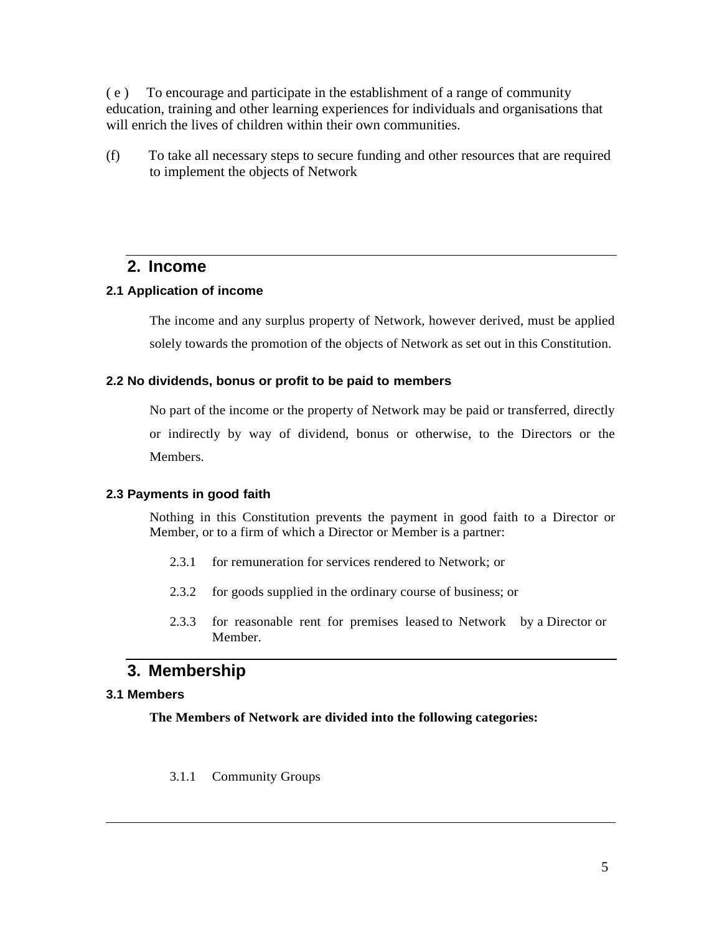( e ) To encourage and participate in the establishment of a range of community education, training and other learning experiences for individuals and organisations that will enrich the lives of children within their own communities.

(f) To take all necessary steps to secure funding and other resources that are required to implement the objects of Network

### **2. Income**

### **2.1 Application of income**

The income and any surplus property of Network, however derived, must be applied solely towards the promotion of the objects of Network as set out in this Constitution.

### **2.2 No dividends, bonus or profit to be paid to members**

No part of the income or the property of Network may be paid or transferred, directly or indirectly by way of dividend, bonus or otherwise, to the Directors or the **Members** 

### **2.3 Payments in good faith**

Nothing in this Constitution prevents the payment in good faith to a Director or Member, or to a firm of which a Director or Member is a partner:

- 2.3.1 for remuneration for services rendered to Network; or
- 2.3.2 for goods supplied in the ordinary course of business; or
- 2.3.3 for reasonable rent for premises leased to Network by a Director or Member.

### **3. Membership**

### **3.1 Members**

**The Members of Network are divided into the following categories:**

### 3.1.1 Community Groups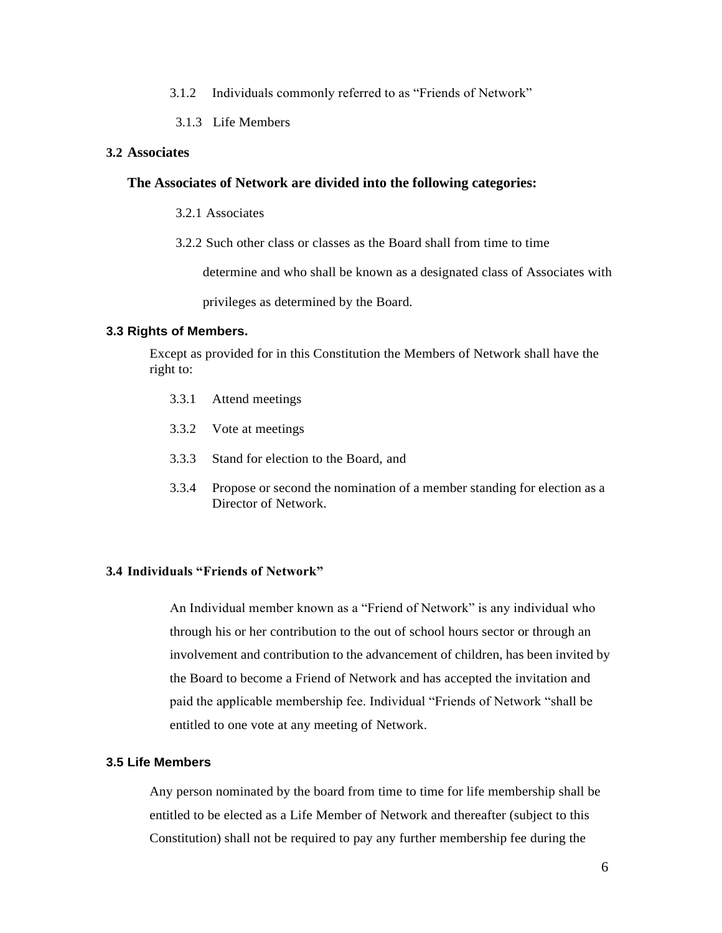- 3.1.2 Individuals commonly referred to as "Friends of Network"
- 3.1.3 Life Members

### **3.2 Associates**

### **The Associates of Network are divided into the following categories:**

3.2.1 Associates

3.2.2 Such other class or classes as the Board shall from time to time

determine and who shall be known as a designated class of Associates with

privileges as determined by the Board.

### **3.3 Rights of Members.**

Except as provided for in this Constitution the Members of Network shall have the right to:

- 3.3.1 Attend meetings
- 3.3.2 Vote at meetings
- 3.3.3 Stand for election to the Board, and
- 3.3.4 Propose or second the nomination of a member standing for election as a Director of Network.

### **3.4 Individuals "Friends of Network"**

An Individual member known as a "Friend of Network" is any individual who through his or her contribution to the out of school hours sector or through an involvement and contribution to the advancement of children, has been invited by the Board to become a Friend of Network and has accepted the invitation and paid the applicable membership fee. Individual "Friends of Network "shall be entitled to one vote at any meeting of Network.

### **3.5 Life Members**

Any person nominated by the board from time to time for life membership shall be entitled to be elected as a Life Member of Network and thereafter (subject to this Constitution) shall not be required to pay any further membership fee during the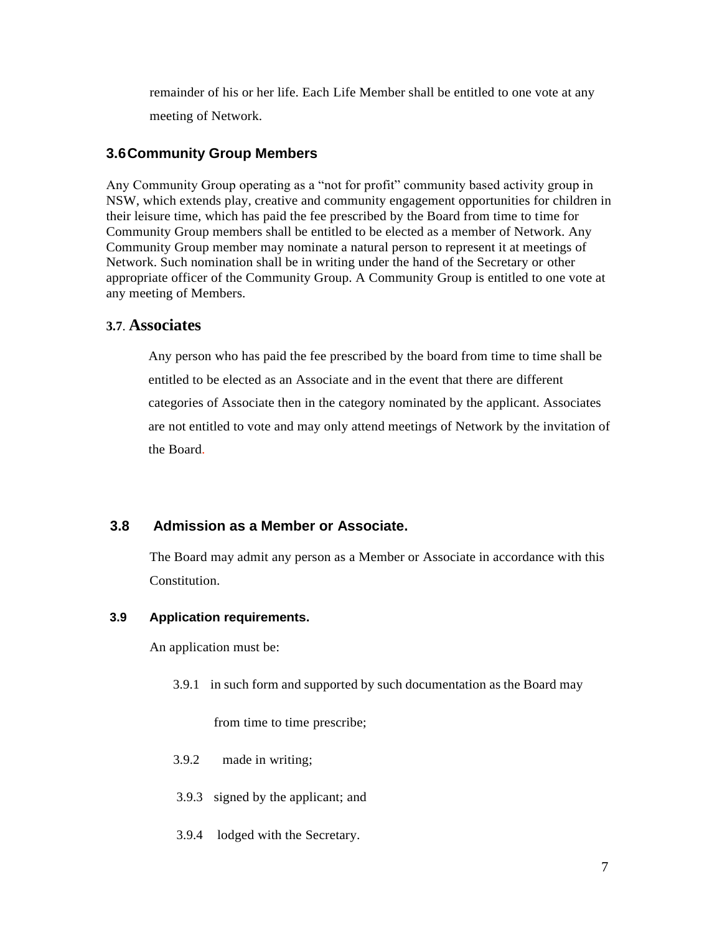remainder of his or her life. Each Life Member shall be entitled to one vote at any meeting of Network.

### **3.6Community Group Members**

Any Community Group operating as a "not for profit" community based activity group in NSW, which extends play, creative and community engagement opportunities for children in their leisure time, which has paid the fee prescribed by the Board from time to time for Community Group members shall be entitled to be elected as a member of Network. Any Community Group member may nominate a natural person to represent it at meetings of Network. Such nomination shall be in writing under the hand of the Secretary or other appropriate officer of the Community Group. A Community Group is entitled to one vote at any meeting of Members.

### **3.7**. **Associates**

Any person who has paid the fee prescribed by the board from time to time shall be entitled to be elected as an Associate and in the event that there are different categories of Associate then in the category nominated by the applicant. Associates are not entitled to vote and may only attend meetings of Network by the invitation of the Board.

### **3.8 Admission as a Member or Associate.**

The Board may admit any person as a Member or Associate in accordance with this Constitution.

### **3.9 Application requirements.**

An application must be:

3.9.1 in such form and supported by such documentation as the Board may

from time to time prescribe;

- 3.9.2 made in writing;
- 3.9.3 signed by the applicant; and
- 3.9.4 lodged with the Secretary.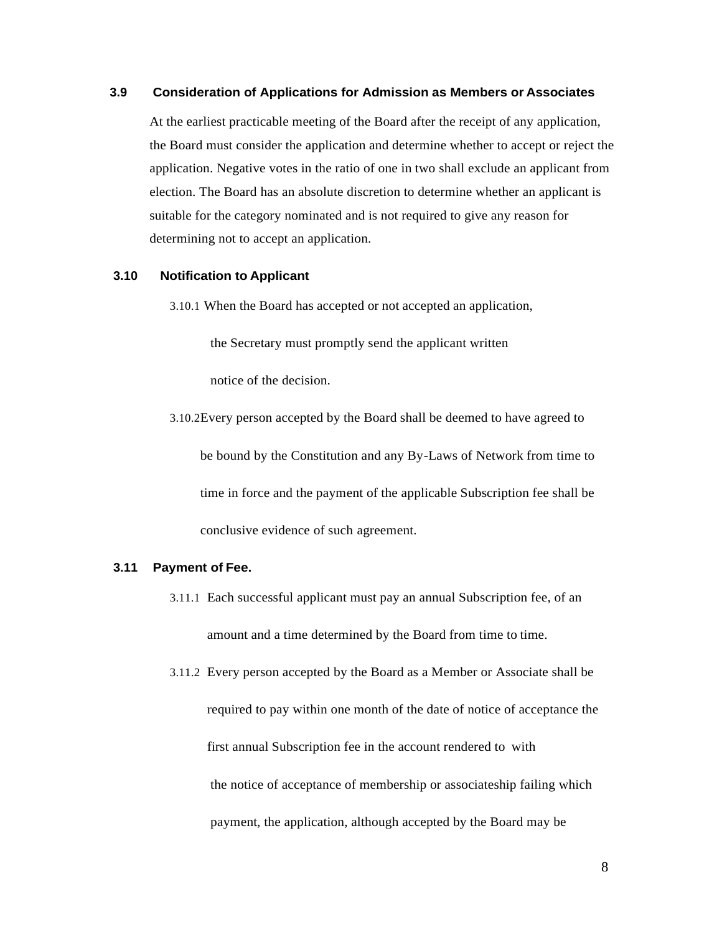### **3.9 Consideration of Applications for Admission as Members or Associates**

At the earliest practicable meeting of the Board after the receipt of any application, the Board must consider the application and determine whether to accept or reject the application. Negative votes in the ratio of one in two shall exclude an applicant from election. The Board has an absolute discretion to determine whether an applicant is suitable for the category nominated and is not required to give any reason for determining not to accept an application.

#### **3.10 Notification to Applicant**

3.10.1 When the Board has accepted or not accepted an application,

the Secretary must promptly send the applicant written

notice of the decision.

3.10.2Every person accepted by the Board shall be deemed to have agreed to be bound by the Constitution and any By-Laws of Network from time to time in force and the payment of the applicable Subscription fee shall be conclusive evidence of such agreement.

#### **3.11 Payment of Fee.**

- 3.11.1 Each successful applicant must pay an annual Subscription fee, of an amount and a time determined by the Board from time to time.
- 3.11.2 Every person accepted by the Board as a Member or Associate shall be required to pay within one month of the date of notice of acceptance the first annual Subscription fee in the account rendered to with the notice of acceptance of membership or associateship failing which payment, the application, although accepted by the Board may be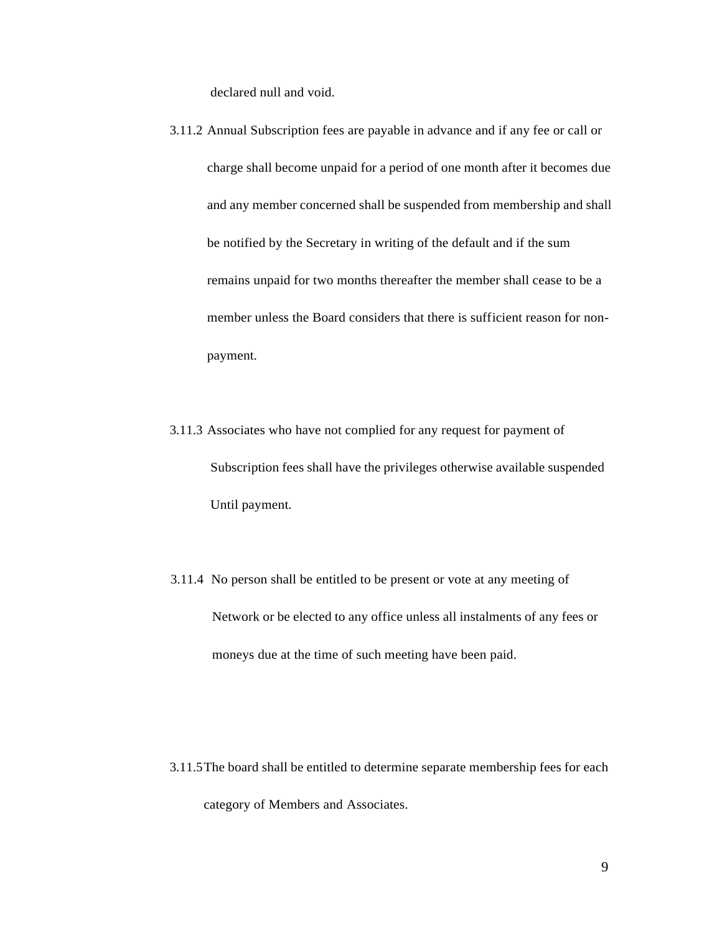declared null and void.

- 3.11.2 Annual Subscription fees are payable in advance and if any fee or call or charge shall become unpaid for a period of one month after it becomes due and any member concerned shall be suspended from membership and shall be notified by the Secretary in writing of the default and if the sum remains unpaid for two months thereafter the member shall cease to be a member unless the Board considers that there is sufficient reason for nonpayment.
- 3.11.3 Associates who have not complied for any request for payment of Subscription fees shall have the privileges otherwise available suspended Until payment.
- 3.11.4 No person shall be entitled to be present or vote at any meeting of Network or be elected to any office unless all instalments of any fees or moneys due at the time of such meeting have been paid.

3.11.5The board shall be entitled to determine separate membership fees for each category of Members and Associates.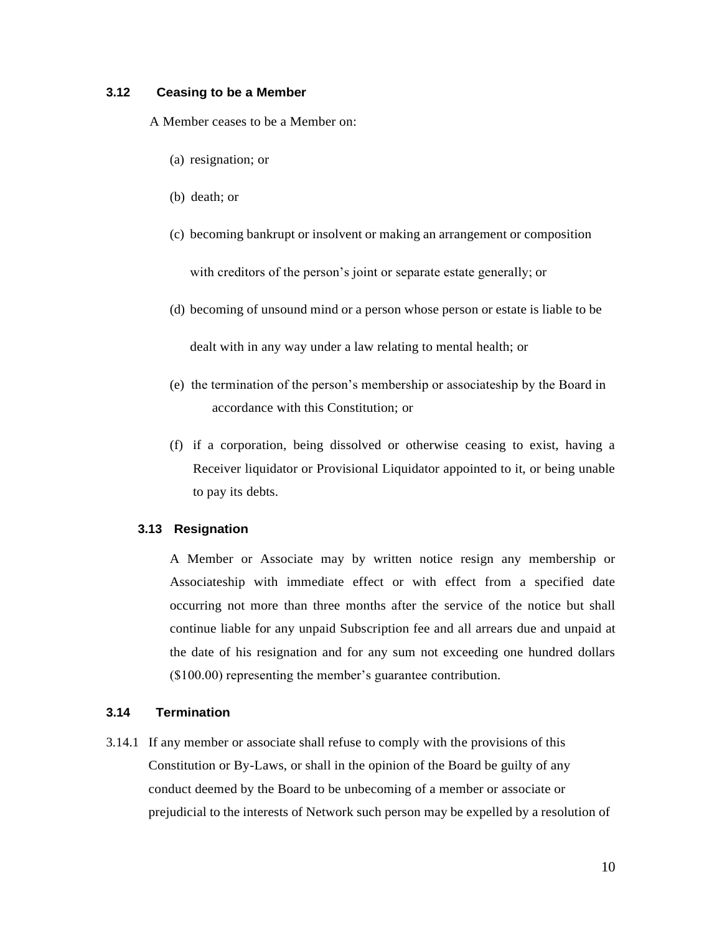### **3.12 Ceasing to be a Member**

A Member ceases to be a Member on:

- (a) resignation; or
- (b) death; or
- (c) becoming bankrupt or insolvent or making an arrangement or composition with creditors of the person's joint or separate estate generally; or
- (d) becoming of unsound mind or a person whose person or estate is liable to be

dealt with in any way under a law relating to mental health; or

- (e) the termination of the person's membership or associateship by the Board in accordance with this Constitution; or
- (f) if a corporation, being dissolved or otherwise ceasing to exist, having a Receiver liquidator or Provisional Liquidator appointed to it, or being unable to pay its debts.

#### **3.13 Resignation**

A Member or Associate may by written notice resign any membership or Associateship with immediate effect or with effect from a specified date occurring not more than three months after the service of the notice but shall continue liable for any unpaid Subscription fee and all arrears due and unpaid at the date of his resignation and for any sum not exceeding one hundred dollars (\$100.00) representing the member's guarantee contribution.

### **3.14 Termination**

3.14.1 If any member or associate shall refuse to comply with the provisions of this Constitution or By-Laws, or shall in the opinion of the Board be guilty of any conduct deemed by the Board to be unbecoming of a member or associate or prejudicial to the interests of Network such person may be expelled by a resolution of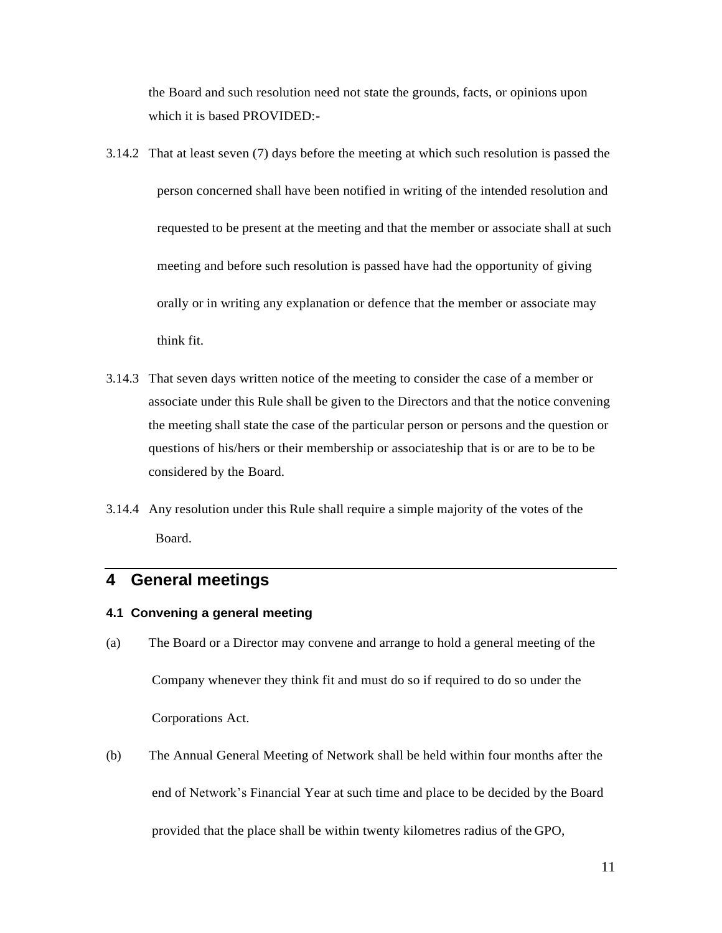the Board and such resolution need not state the grounds, facts, or opinions upon which it is based PROVIDED:-

- 3.14.2 That at least seven (7) days before the meeting at which such resolution is passed the person concerned shall have been notified in writing of the intended resolution and requested to be present at the meeting and that the member or associate shall at such meeting and before such resolution is passed have had the opportunity of giving orally or in writing any explanation or defence that the member or associate may think fit.
- 3.14.3 That seven days written notice of the meeting to consider the case of a member or associate under this Rule shall be given to the Directors and that the notice convening the meeting shall state the case of the particular person or persons and the question or questions of his/hers or their membership or associateship that is or are to be to be considered by the Board.
- 3.14.4 Any resolution under this Rule shall require a simple majority of the votes of the Board.

# **4 General meetings**

### **4.1 Convening a general meeting**

- (a) The Board or a Director may convene and arrange to hold a general meeting of the Company whenever they think fit and must do so if required to do so under the Corporations Act.
- (b) The Annual General Meeting of Network shall be held within four months after the end of Network's Financial Year at such time and place to be decided by the Board provided that the place shall be within twenty kilometres radius of the GPO,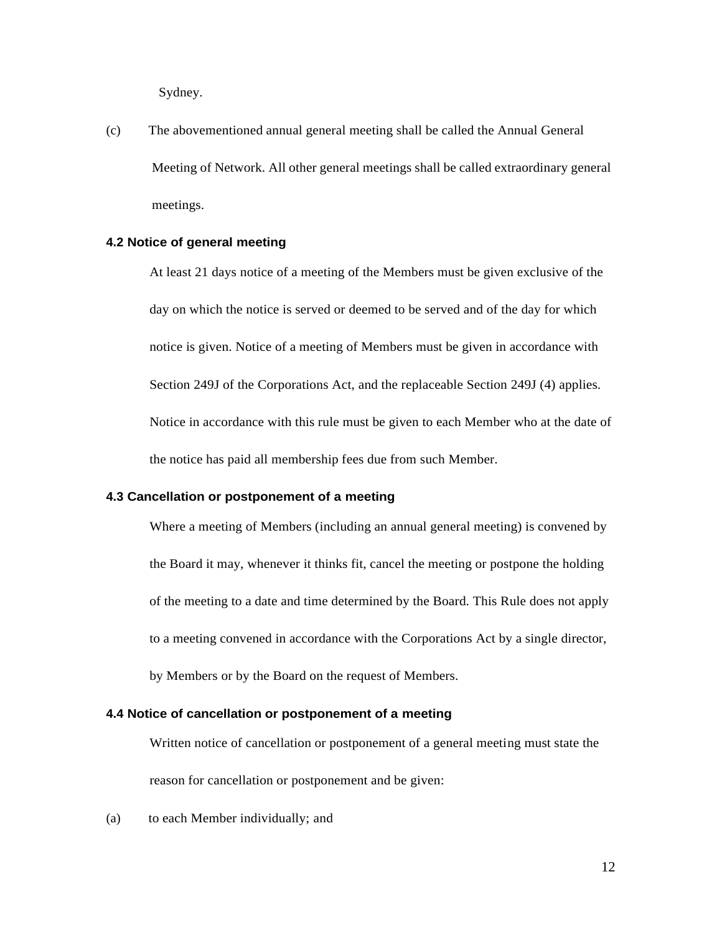Sydney.

(c) The abovementioned annual general meeting shall be called the Annual General Meeting of Network. All other general meetings shall be called extraordinary general meetings.

### **4.2 Notice of general meeting**

At least 21 days notice of a meeting of the Members must be given exclusive of the day on which the notice is served or deemed to be served and of the day for which notice is given. Notice of a meeting of Members must be given in accordance with Section 249J of the Corporations Act, and the replaceable Section 249J (4) applies. Notice in accordance with this rule must be given to each Member who at the date of the notice has paid all membership fees due from such Member.

### **4.3 Cancellation or postponement of a meeting**

Where a meeting of Members (including an annual general meeting) is convened by the Board it may, whenever it thinks fit, cancel the meeting or postpone the holding of the meeting to a date and time determined by the Board. This Rule does not apply to a meeting convened in accordance with the Corporations Act by a single director, by Members or by the Board on the request of Members.

### **4.4 Notice of cancellation or postponement of a meeting**

Written notice of cancellation or postponement of a general meeting must state the reason for cancellation or postponement and be given:

(a) to each Member individually; and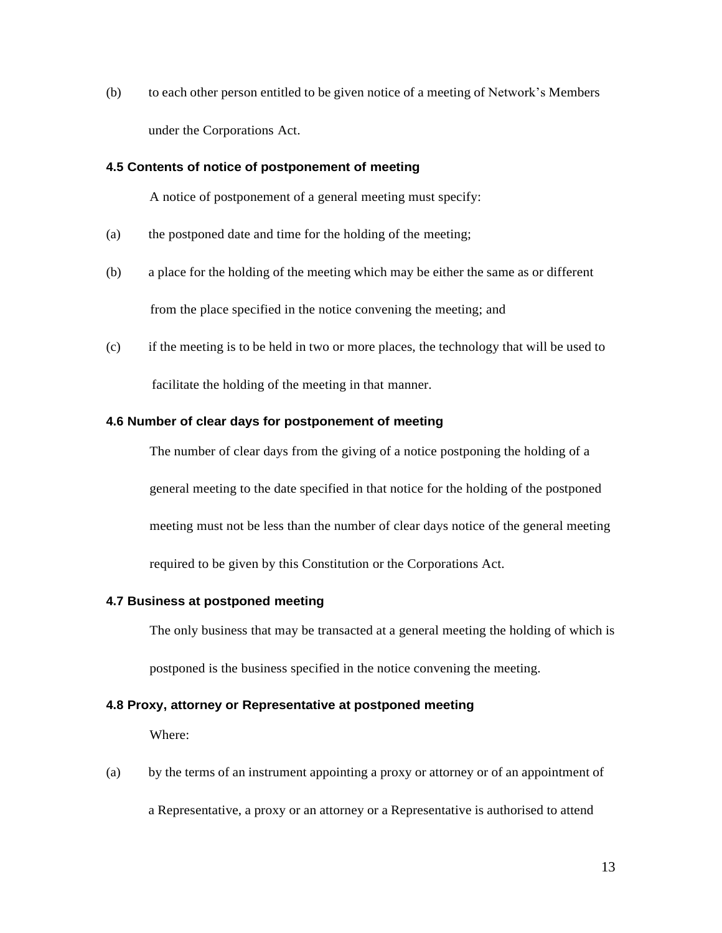(b) to each other person entitled to be given notice of a meeting of Network's Members under the Corporations Act.

### **4.5 Contents of notice of postponement of meeting**

A notice of postponement of a general meeting must specify:

- (a) the postponed date and time for the holding of the meeting;
- (b) a place for the holding of the meeting which may be either the same as or different from the place specified in the notice convening the meeting; and
- (c) if the meeting is to be held in two or more places, the technology that will be used to facilitate the holding of the meeting in that manner.

### **4.6 Number of clear days for postponement of meeting**

The number of clear days from the giving of a notice postponing the holding of a

general meeting to the date specified in that notice for the holding of the postponed meeting must not be less than the number of clear days notice of the general meeting required to be given by this Constitution or the Corporations Act.

#### **4.7 Business at postponed meeting**

The only business that may be transacted at a general meeting the holding of which is

postponed is the business specified in the notice convening the meeting.

### **4.8 Proxy, attorney or Representative at postponed meeting**

Where:

(a) by the terms of an instrument appointing a proxy or attorney or of an appointment of a Representative, a proxy or an attorney or a Representative is authorised to attend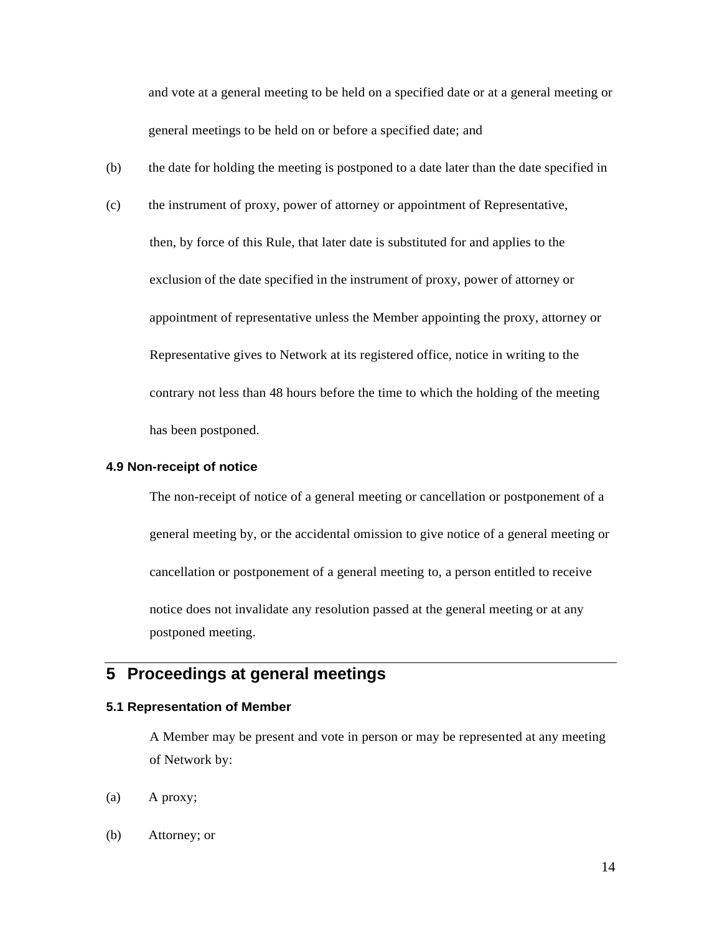and vote at a general meeting to be held on a specified date or at a general meeting or general meetings to be held on or before a specified date; and

- (b) the date for holding the meeting is postponed to a date later than the date specified in
- (c) the instrument of proxy, power of attorney or appointment of Representative,

then, by force of this Rule, that later date is substituted for and applies to the exclusion of the date specified in the instrument of proxy, power of attorney or appointment of representative unless the Member appointing the proxy, attorney or Representative gives to Network at its registered office, notice in writing to the contrary not less than 48 hours before the time to which the holding of the meeting has been postponed.

### **4.9 Non-receipt of notice**

The non-receipt of notice of a general meeting or cancellation or postponement of a general meeting by, or the accidental omission to give notice of a general meeting or cancellation or postponement of a general meeting to, a person entitled to receive notice does not invalidate any resolution passed at the general meeting or at any postponed meeting.

# **5 Proceedings at general meetings**

### **5.1 Representation of Member**

A Member may be present and vote in person or may be represented at any meeting of Network by:

- (a) A proxy;
- (b) Attorney; or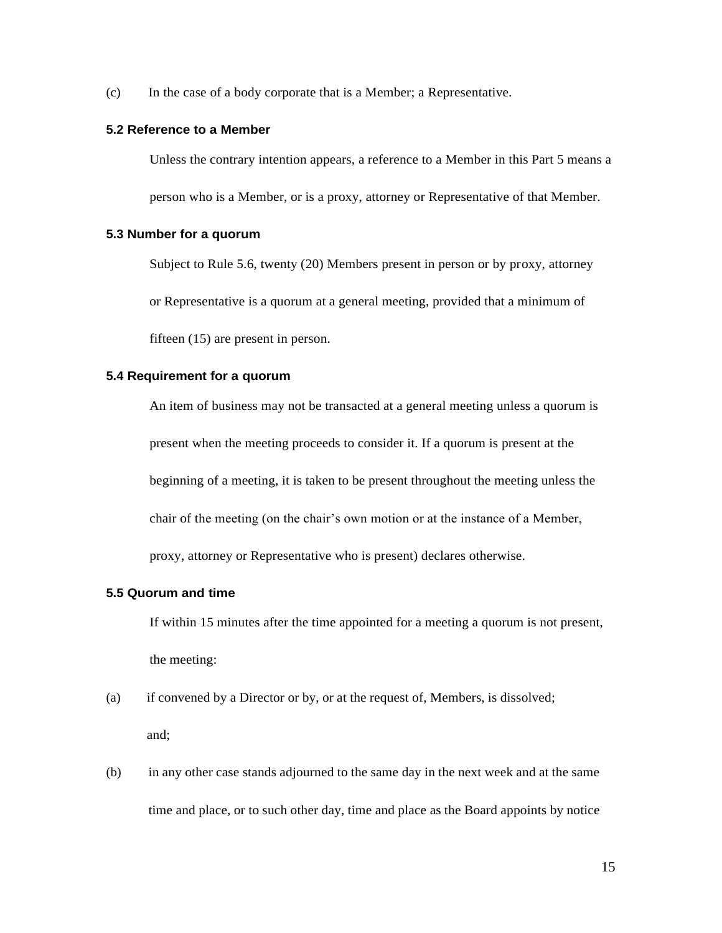(c) In the case of a body corporate that is a Member; a Representative.

### **5.2 Reference to a Member**

Unless the contrary intention appears, a reference to a Member in this Part 5 means a person who is a Member, or is a proxy, attorney or Representative of that Member.

### **5.3 Number for a quorum**

Subject to Rule 5.6, twenty (20) Members present in person or by proxy, attorney

or Representative is a quorum at a general meeting, provided that a minimum of

fifteen (15) are present in person.

### **5.4 Requirement for a quorum**

An item of business may not be transacted at a general meeting unless a quorum is present when the meeting proceeds to consider it. If a quorum is present at the beginning of a meeting, it is taken to be present throughout the meeting unless the chair of the meeting (on the chair's own motion or at the instance of a Member, proxy, attorney or Representative who is present) declares otherwise.

### **5.5 Quorum and time**

If within 15 minutes after the time appointed for a meeting a quorum is not present, the meeting:

- (a) if convened by a Director or by, or at the request of, Members, is dissolved; and;
- (b) in any other case stands adjourned to the same day in the next week and at the same time and place, or to such other day, time and place as the Board appoints by notice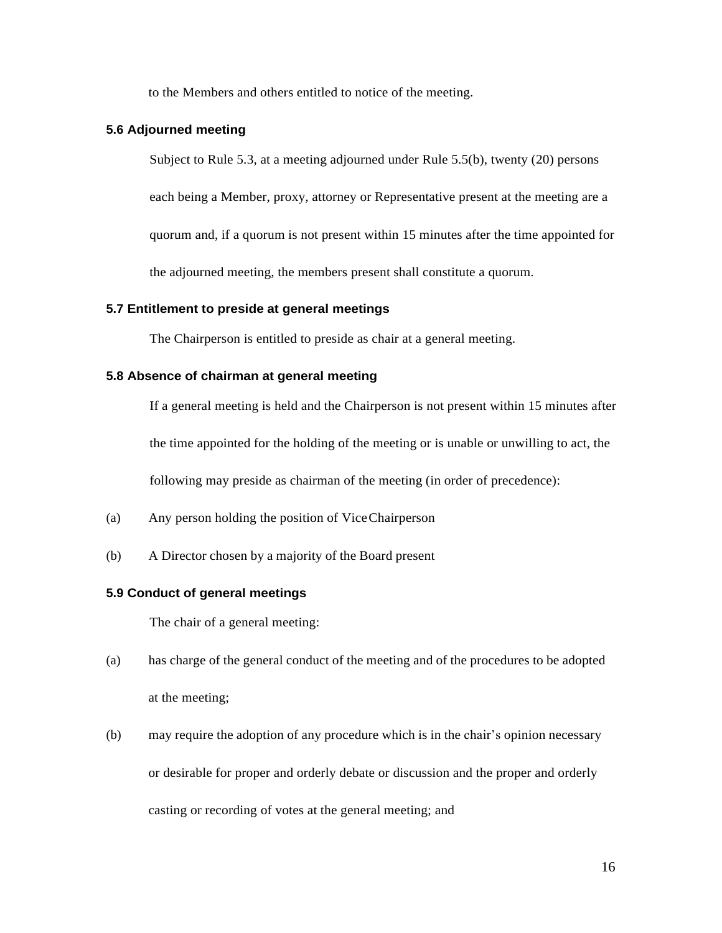to the Members and others entitled to notice of the meeting.

### **5.6 Adjourned meeting**

Subject to Rule 5.3, at a meeting adjourned under Rule 5.5(b), twenty (20) persons

each being a Member, proxy, attorney or Representative present at the meeting are a

quorum and, if a quorum is not present within 15 minutes after the time appointed for

the adjourned meeting, the members present shall constitute a quorum.

### **5.7 Entitlement to preside at general meetings**

The Chairperson is entitled to preside as chair at a general meeting.

### **5.8 Absence of chairman at general meeting**

If a general meeting is held and the Chairperson is not present within 15 minutes after the time appointed for the holding of the meeting or is unable or unwilling to act, the following may preside as chairman of the meeting (in order of precedence):

- (a) Any person holding the position of ViceChairperson
- (b) A Director chosen by a majority of the Board present

### **5.9 Conduct of general meetings**

The chair of a general meeting:

- (a) has charge of the general conduct of the meeting and of the procedures to be adopted at the meeting;
- (b) may require the adoption of any procedure which is in the chair's opinion necessary or desirable for proper and orderly debate or discussion and the proper and orderly casting or recording of votes at the general meeting; and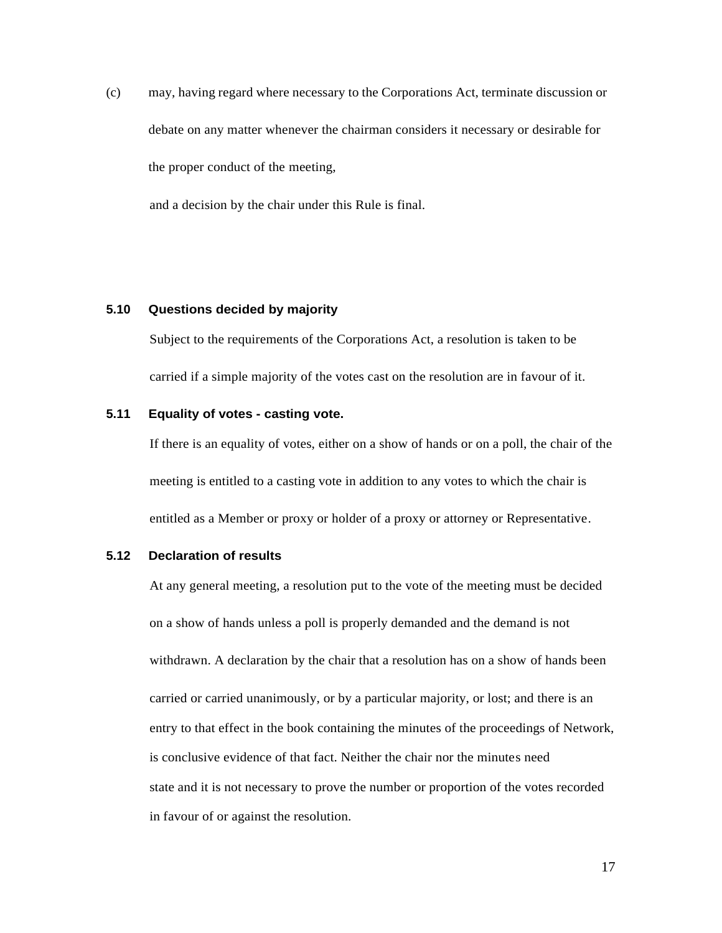(c) may, having regard where necessary to the Corporations Act, terminate discussion or debate on any matter whenever the chairman considers it necessary or desirable for the proper conduct of the meeting,

and a decision by the chair under this Rule is final.

### **5.10 Questions decided by majority**

Subject to the requirements of the Corporations Act, a resolution is taken to be carried if a simple majority of the votes cast on the resolution are in favour of it.

#### **5.11 Equality of votes - casting vote.**

If there is an equality of votes, either on a show of hands or on a poll, the chair of the meeting is entitled to a casting vote in addition to any votes to which the chair is entitled as a Member or proxy or holder of a proxy or attorney or Representative.

### **5.12 Declaration of results**

At any general meeting, a resolution put to the vote of the meeting must be decided on a show of hands unless a poll is properly demanded and the demand is not withdrawn. A declaration by the chair that a resolution has on a show of hands been carried or carried unanimously, or by a particular majority, or lost; and there is an entry to that effect in the book containing the minutes of the proceedings of Network, is conclusive evidence of that fact. Neither the chair nor the minutes need state and it is not necessary to prove the number or proportion of the votes recorded in favour of or against the resolution.

17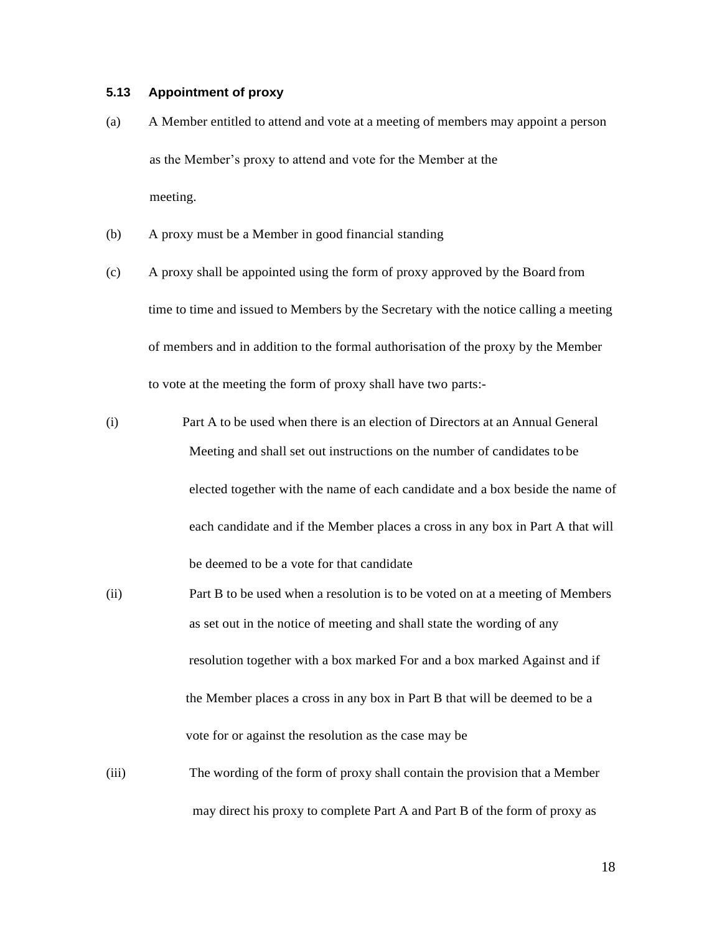### **5.13 Appointment of proxy**

- (a) A Member entitled to attend and vote at a meeting of members may appoint a person as the Member's proxy to attend and vote for the Member at the meeting.
- (b) A proxy must be a Member in good financial standing
- (c) A proxy shall be appointed using the form of proxy approved by the Board from time to time and issued to Members by the Secretary with the notice calling a meeting of members and in addition to the formal authorisation of the proxy by the Member to vote at the meeting the form of proxy shall have two parts:-
- (i) Part A to be used when there is an election of Directors at an Annual General Meeting and shall set out instructions on the number of candidates to be elected together with the name of each candidate and a box beside the name of each candidate and if the Member places a cross in any box in Part A that will be deemed to be a vote for that candidate
- (ii) Part B to be used when a resolution is to be voted on at a meeting of Members as set out in the notice of meeting and shall state the wording of any resolution together with a box marked For and a box marked Against and if the Member places a cross in any box in Part B that will be deemed to be a vote for or against the resolution as the case may be
- (iii) The wording of the form of proxy shall contain the provision that a Member may direct his proxy to complete Part A and Part B of the form of proxy as

18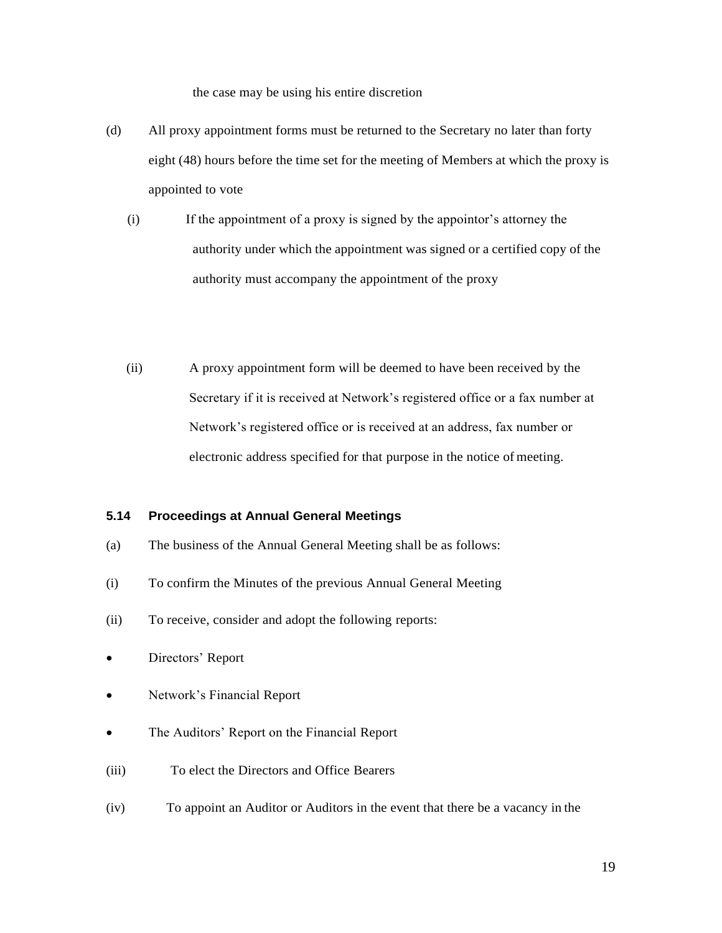the case may be using his entire discretion

- (d) All proxy appointment forms must be returned to the Secretary no later than forty eight (48) hours before the time set for the meeting of Members at which the proxy is appointed to vote
	- (i) If the appointment of a proxy is signed by the appointor's attorney the authority under which the appointment was signed or a certified copy of the authority must accompany the appointment of the proxy
	- (ii) A proxy appointment form will be deemed to have been received by the Secretary if it is received at Network's registered office or a fax number at Network's registered office or is received at an address, fax number or electronic address specified for that purpose in the notice of meeting.

### **5.14 Proceedings at Annual General Meetings**

- (a) The business of the Annual General Meeting shall be as follows:
- (i) To confirm the Minutes of the previous Annual General Meeting
- (ii) To receive, consider and adopt the following reports:
- Directors' Report
- Network's Financial Report
- The Auditors' Report on the Financial Report
- (iii) To elect the Directors and Office Bearers
- (iv) To appoint an Auditor or Auditors in the event that there be a vacancy in the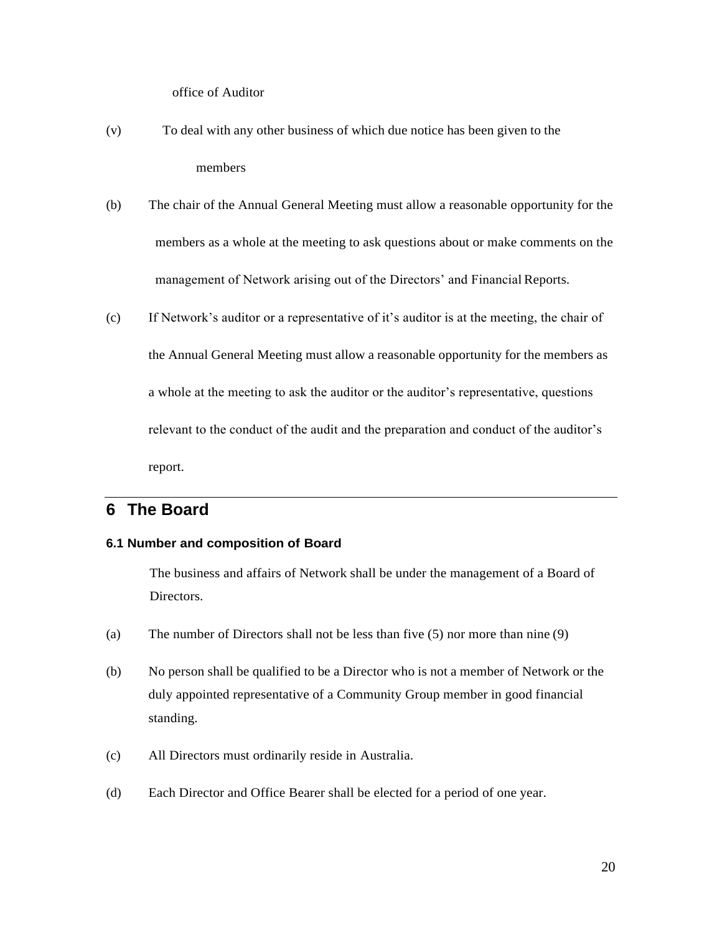office of Auditor

- (v) To deal with any other business of which due notice has been given to the members
- (b) The chair of the Annual General Meeting must allow a reasonable opportunity for the members as a whole at the meeting to ask questions about or make comments on the management of Network arising out of the Directors' and Financial Reports.
- (c) If Network's auditor or a representative of it's auditor is at the meeting, the chair of the Annual General Meeting must allow a reasonable opportunity for the members as a whole at the meeting to ask the auditor or the auditor's representative, questions relevant to the conduct of the audit and the preparation and conduct of the auditor's report.

### **6 The Board**

### **6.1 Number and composition of Board**

The business and affairs of Network shall be under the management of a Board of Directors.

- (a) The number of Directors shall not be less than five (5) nor more than nine (9)
- (b) No person shall be qualified to be a Director who is not a member of Network or the duly appointed representative of a Community Group member in good financial standing.
- (c) All Directors must ordinarily reside in Australia.
- (d) Each Director and Office Bearer shall be elected for a period of one year.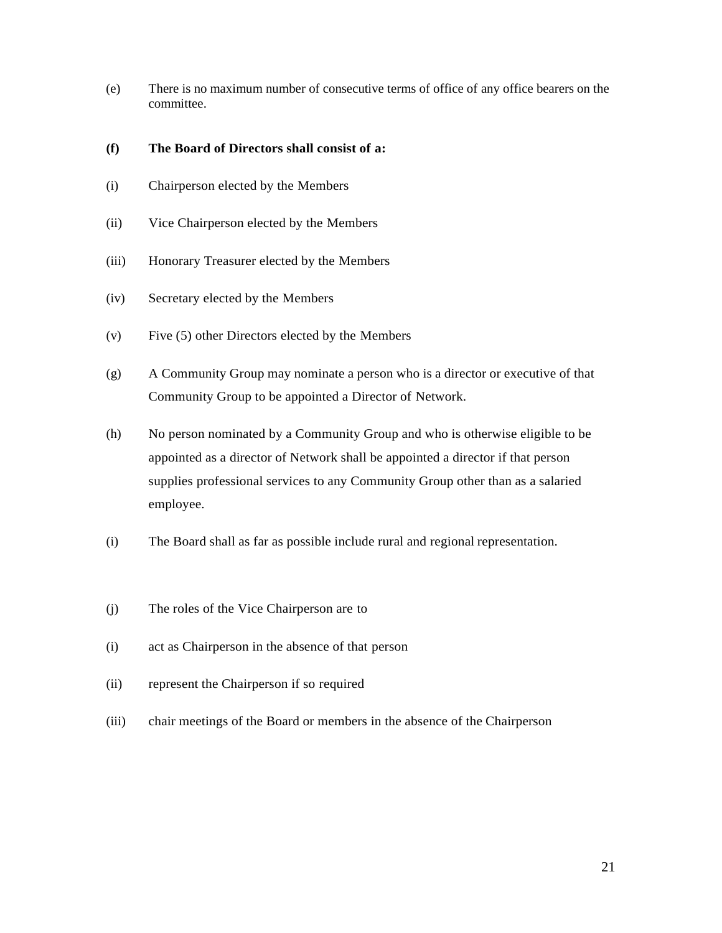(e) There is no maximum number of consecutive terms of office of any office bearers on the committee.

### **(f) The Board of Directors shall consist of a:**

- (i) Chairperson elected by the Members
- (ii) Vice Chairperson elected by the Members
- (iii) Honorary Treasurer elected by the Members
- (iv) Secretary elected by the Members
- (v) Five (5) other Directors elected by the Members
- (g) A Community Group may nominate a person who is a director or executive of that Community Group to be appointed a Director of Network.
- (h) No person nominated by a Community Group and who is otherwise eligible to be appointed as a director of Network shall be appointed a director if that person supplies professional services to any Community Group other than as a salaried employee.
- (i) The Board shall as far as possible include rural and regional representation.
- (j) The roles of the Vice Chairperson are to
- (i) act as Chairperson in the absence of that person
- (ii) represent the Chairperson if so required
- (iii) chair meetings of the Board or members in the absence of the Chairperson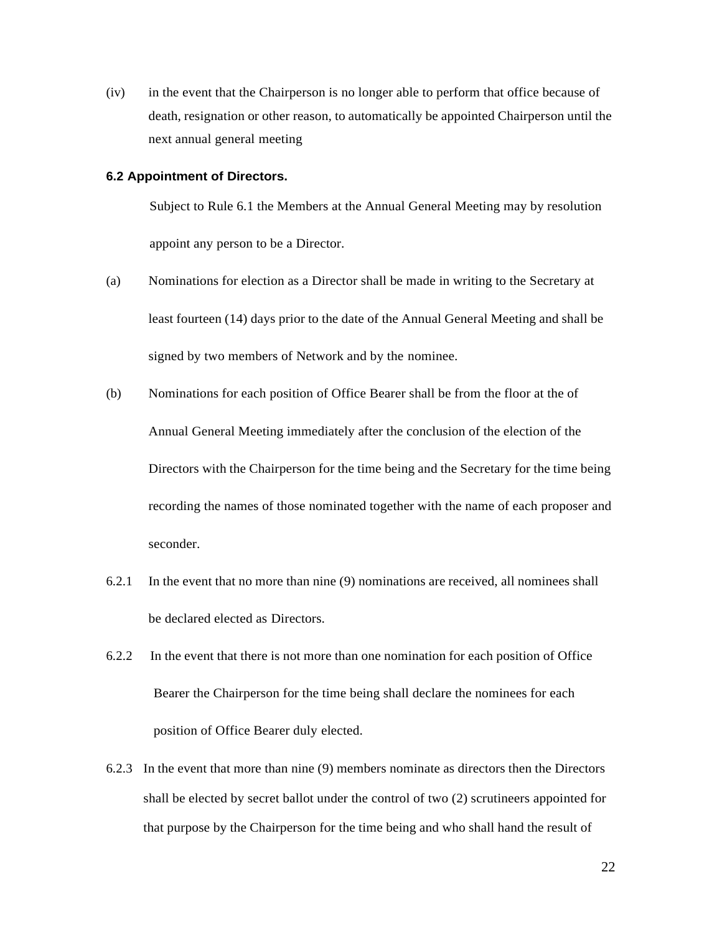(iv) in the event that the Chairperson is no longer able to perform that office because of death, resignation or other reason, to automatically be appointed Chairperson until the next annual general meeting

#### **6.2 Appointment of Directors.**

Subject to Rule 6.1 the Members at the Annual General Meeting may by resolution appoint any person to be a Director.

- (a) Nominations for election as a Director shall be made in writing to the Secretary at least fourteen (14) days prior to the date of the Annual General Meeting and shall be signed by two members of Network and by the nominee.
- (b) Nominations for each position of Office Bearer shall be from the floor at the of Annual General Meeting immediately after the conclusion of the election of the Directors with the Chairperson for the time being and the Secretary for the time being recording the names of those nominated together with the name of each proposer and seconder.
- 6.2.1 In the event that no more than nine (9) nominations are received, all nominees shall be declared elected as Directors.
- 6.2.2 In the event that there is not more than one nomination for each position of Office Bearer the Chairperson for the time being shall declare the nominees for each position of Office Bearer duly elected.
- 6.2.3 In the event that more than nine (9) members nominate as directors then the Directors shall be elected by secret ballot under the control of two (2) scrutineers appointed for that purpose by the Chairperson for the time being and who shall hand the result of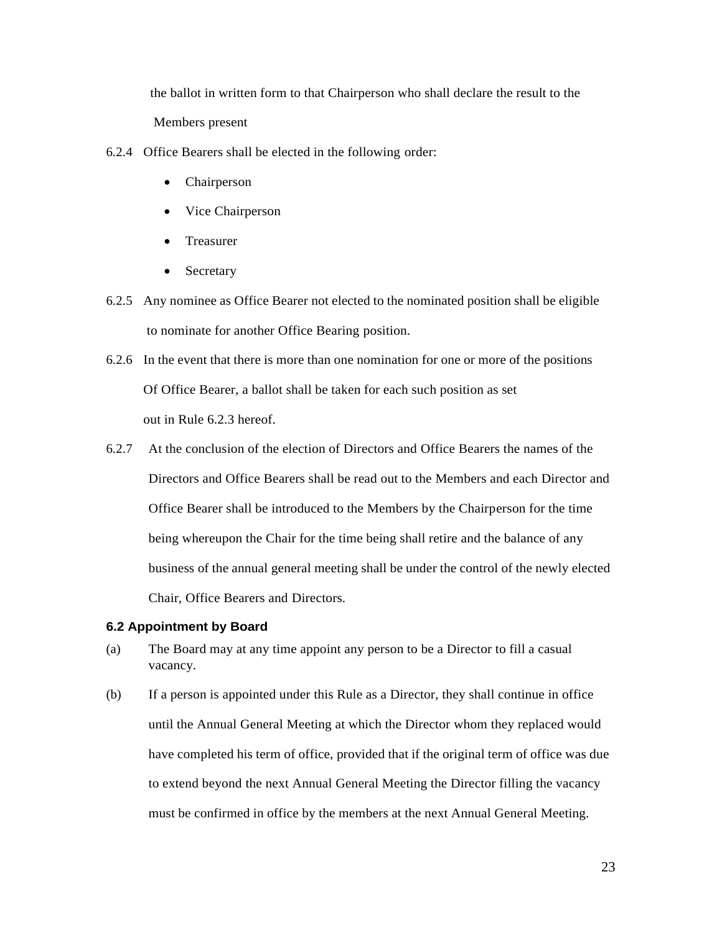the ballot in written form to that Chairperson who shall declare the result to the Members present

- 6.2.4 Office Bearers shall be elected in the following order:
	- Chairperson
	- Vice Chairperson
	- Treasurer
	- Secretary
- 6.2.5 Any nominee as Office Bearer not elected to the nominated position shall be eligible to nominate for another Office Bearing position.
- 6.2.6 In the event that there is more than one nomination for one or more of the positions Of Office Bearer, a ballot shall be taken for each such position as set out in Rule 6.2.3 hereof.
- 6.2.7 At the conclusion of the election of Directors and Office Bearers the names of the Directors and Office Bearers shall be read out to the Members and each Director and Office Bearer shall be introduced to the Members by the Chairperson for the time being whereupon the Chair for the time being shall retire and the balance of any business of the annual general meeting shall be under the control of the newly elected Chair, Office Bearers and Directors.

#### **6.2 Appointment by Board**

- (a) The Board may at any time appoint any person to be a Director to fill a casual vacancy.
- (b) If a person is appointed under this Rule as a Director, they shall continue in office until the Annual General Meeting at which the Director whom they replaced would have completed his term of office, provided that if the original term of office was due to extend beyond the next Annual General Meeting the Director filling the vacancy must be confirmed in office by the members at the next Annual General Meeting.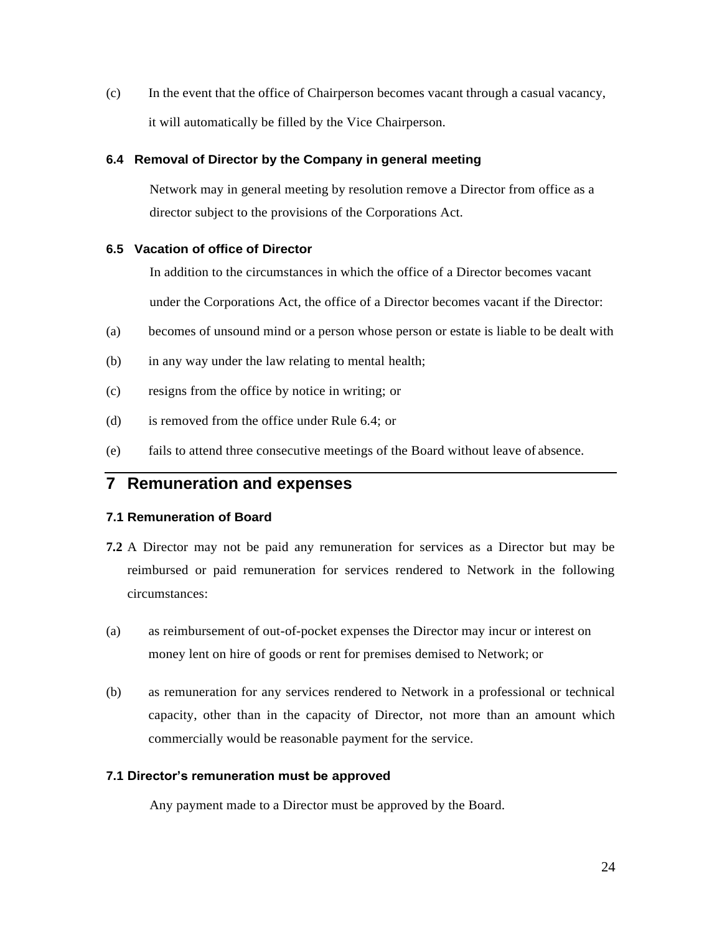(c) In the event that the office of Chairperson becomes vacant through a casual vacancy, it will automatically be filled by the Vice Chairperson.

### **6.4 Removal of Director by the Company in general meeting**

Network may in general meeting by resolution remove a Director from office as a director subject to the provisions of the Corporations Act.

### **6.5 Vacation of office of Director**

In addition to the circumstances in which the office of a Director becomes vacant

under the Corporations Act, the office of a Director becomes vacant if the Director:

- (a) becomes of unsound mind or a person whose person or estate is liable to be dealt with
- (b) in any way under the law relating to mental health;
- (c) resigns from the office by notice in writing; or
- (d) is removed from the office under Rule 6.4; or
- (e) fails to attend three consecutive meetings of the Board without leave of absence.

# **7 Remuneration and expenses**

### **7.1 Remuneration of Board**

- **7.2** A Director may not be paid any remuneration for services as a Director but may be reimbursed or paid remuneration for services rendered to Network in the following circumstances:
- (a) as reimbursement of out-of-pocket expenses the Director may incur or interest on money lent on hire of goods or rent for premises demised to Network; or
- (b) as remuneration for any services rendered to Network in a professional or technical capacity, other than in the capacity of Director, not more than an amount which commercially would be reasonable payment for the service.

### **7.1 Director's remuneration must be approved**

Any payment made to a Director must be approved by the Board.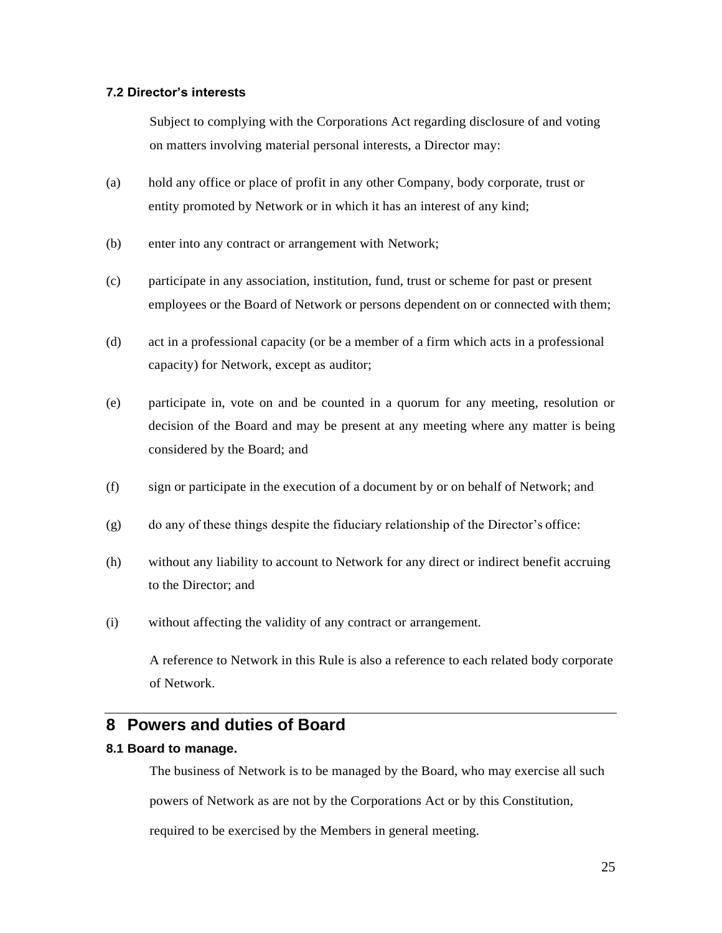### **7.2 Director's interests**

Subject to complying with the Corporations Act regarding disclosure of and voting on matters involving material personal interests, a Director may:

- (a) hold any office or place of profit in any other Company, body corporate, trust or entity promoted by Network or in which it has an interest of any kind;
- (b) enter into any contract or arrangement with Network;
- (c) participate in any association, institution, fund, trust or scheme for past or present employees or the Board of Network or persons dependent on or connected with them;
- (d) act in a professional capacity (or be a member of a firm which acts in a professional capacity) for Network, except as auditor;
- (e) participate in, vote on and be counted in a quorum for any meeting, resolution or decision of the Board and may be present at any meeting where any matter is being considered by the Board; and
- (f) sign or participate in the execution of a document by or on behalf of Network; and
- (g) do any of these things despite the fiduciary relationship of the Director's office:
- (h) without any liability to account to Network for any direct or indirect benefit accruing to the Director; and
- (i) without affecting the validity of any contract or arrangement.

A reference to Network in this Rule is also a reference to each related body corporate of Network.

### **8 Powers and duties of Board**

### **8.1 Board to manage.**

The business of Network is to be managed by the Board, who may exercise all such powers of Network as are not by the Corporations Act or by this Constitution, required to be exercised by the Members in general meeting.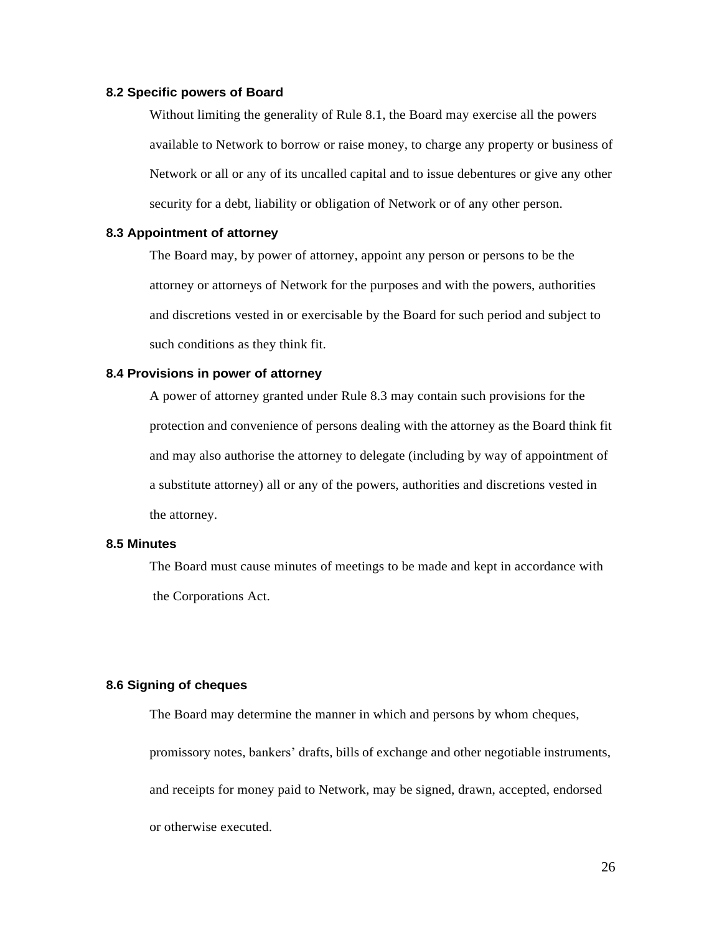### **8.2 Specific powers of Board**

Without limiting the generality of Rule 8.1, the Board may exercise all the powers available to Network to borrow or raise money, to charge any property or business of Network or all or any of its uncalled capital and to issue debentures or give any other security for a debt, liability or obligation of Network or of any other person.

### **8.3 Appointment of attorney**

The Board may, by power of attorney, appoint any person or persons to be the attorney or attorneys of Network for the purposes and with the powers, authorities and discretions vested in or exercisable by the Board for such period and subject to such conditions as they think fit.

### **8.4 Provisions in power of attorney**

A power of attorney granted under Rule 8.3 may contain such provisions for the protection and convenience of persons dealing with the attorney as the Board think fit and may also authorise the attorney to delegate (including by way of appointment of a substitute attorney) all or any of the powers, authorities and discretions vested in the attorney.

### **8.5 Minutes**

The Board must cause minutes of meetings to be made and kept in accordance with the Corporations Act.

### **8.6 Signing of cheques**

The Board may determine the manner in which and persons by whom cheques, promissory notes, bankers' drafts, bills of exchange and other negotiable instruments, and receipts for money paid to Network, may be signed, drawn, accepted, endorsed or otherwise executed.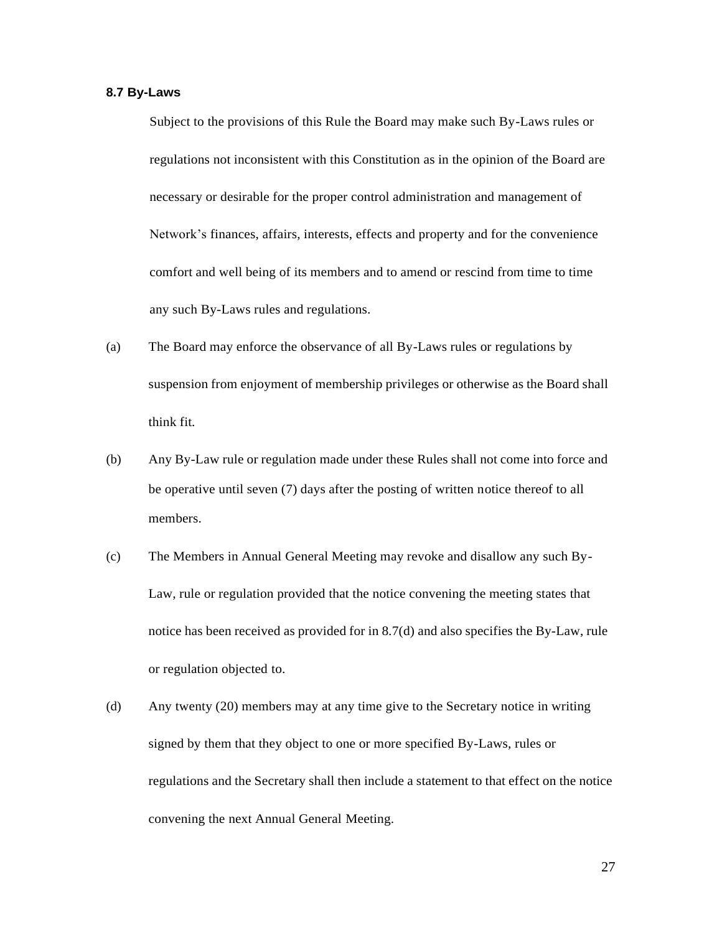### **8.7 By-Laws**

Subject to the provisions of this Rule the Board may make such By-Laws rules or regulations not inconsistent with this Constitution as in the opinion of the Board are necessary or desirable for the proper control administration and management of Network's finances, affairs, interests, effects and property and for the convenience comfort and well being of its members and to amend or rescind from time to time any such By-Laws rules and regulations.

- (a) The Board may enforce the observance of all By-Laws rules or regulations by suspension from enjoyment of membership privileges or otherwise as the Board shall think fit.
- (b) Any By-Law rule or regulation made under these Rules shall not come into force and be operative until seven (7) days after the posting of written notice thereof to all members.
- (c) The Members in Annual General Meeting may revoke and disallow any such By-Law, rule or regulation provided that the notice convening the meeting states that notice has been received as provided for in 8.7(d) and also specifies the By-Law, rule or regulation objected to.
- (d) Any twenty (20) members may at any time give to the Secretary notice in writing signed by them that they object to one or more specified By-Laws, rules or regulations and the Secretary shall then include a statement to that effect on the notice convening the next Annual General Meeting.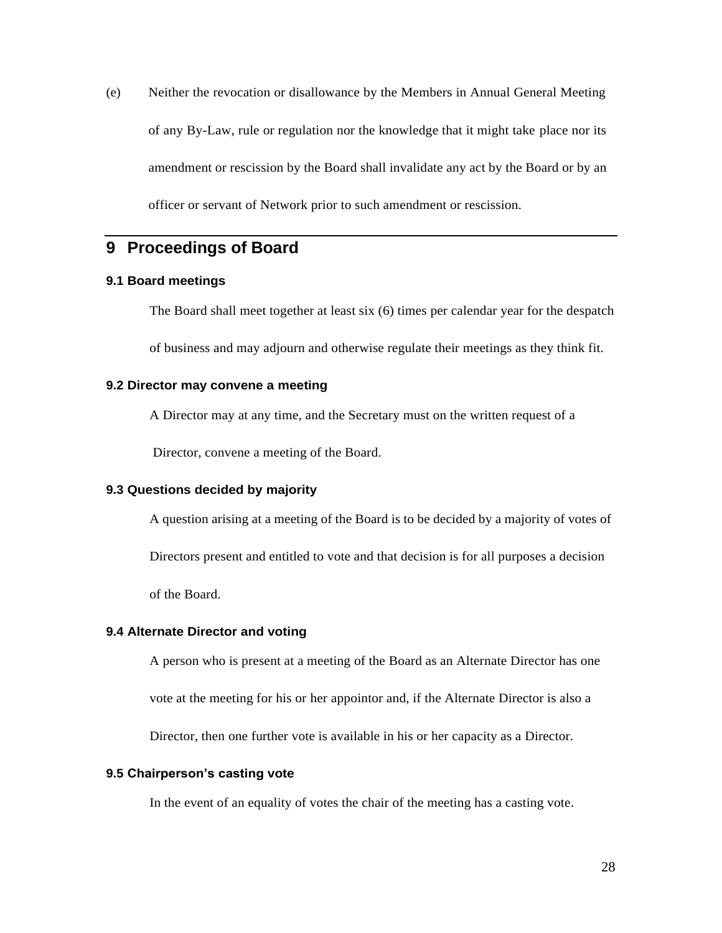(e) Neither the revocation or disallowance by the Members in Annual General Meeting of any By-Law, rule or regulation nor the knowledge that it might take place nor its amendment or rescission by the Board shall invalidate any act by the Board or by an officer or servant of Network prior to such amendment or rescission.

# **9 Proceedings of Board**

### **9.1 Board meetings**

The Board shall meet together at least six (6) times per calendar year for the despatch

of business and may adjourn and otherwise regulate their meetings as they think fit.

### **9.2 Director may convene a meeting**

A Director may at any time, and the Secretary must on the written request of a

Director, convene a meeting of the Board.

### **9.3 Questions decided by majority**

A question arising at a meeting of the Board is to be decided by a majority of votes of

Directors present and entitled to vote and that decision is for all purposes a decision

of the Board.

#### **9.4 Alternate Director and voting**

A person who is present at a meeting of the Board as an Alternate Director has one

vote at the meeting for his or her appointor and, if the Alternate Director is also a

Director, then one further vote is available in his or her capacity as a Director.

### **9.5 Chairperson's casting vote**

In the event of an equality of votes the chair of the meeting has a casting vote.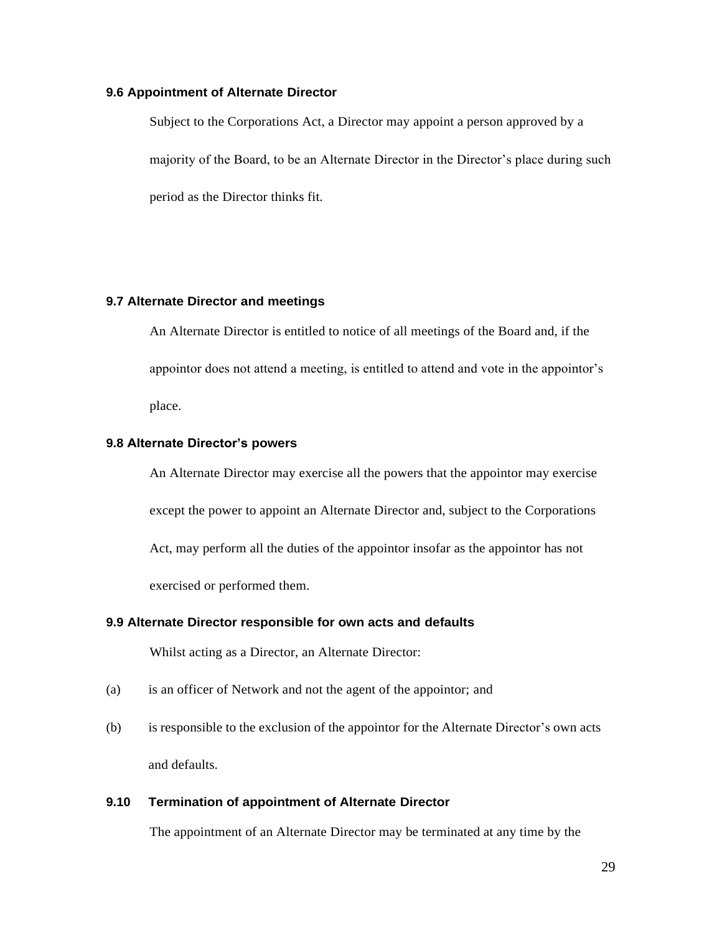### **9.6 Appointment of Alternate Director**

Subject to the Corporations Act, a Director may appoint a person approved by a majority of the Board, to be an Alternate Director in the Director's place during such period as the Director thinks fit.

### **9.7 Alternate Director and meetings**

An Alternate Director is entitled to notice of all meetings of the Board and, if the appointor does not attend a meeting, is entitled to attend and vote in the appointor's place.

### **9.8 Alternate Director's powers**

An Alternate Director may exercise all the powers that the appointor may exercise except the power to appoint an Alternate Director and, subject to the Corporations Act, may perform all the duties of the appointor insofar as the appointor has not exercised or performed them.

### **9.9 Alternate Director responsible for own acts and defaults**

Whilst acting as a Director, an Alternate Director:

- (a) is an officer of Network and not the agent of the appointor; and
- (b) is responsible to the exclusion of the appointor for the Alternate Director's own acts and defaults.

#### **9.10 Termination of appointment of Alternate Director**

The appointment of an Alternate Director may be terminated at any time by the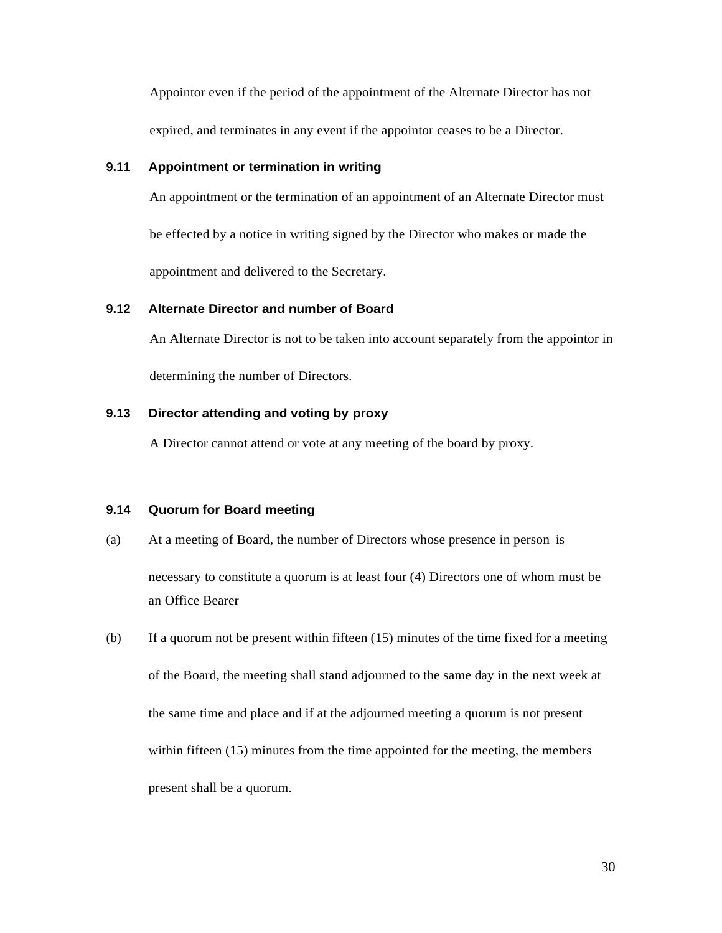Appointor even if the period of the appointment of the Alternate Director has not expired, and terminates in any event if the appointor ceases to be a Director.

### **9.11 Appointment or termination in writing**

An appointment or the termination of an appointment of an Alternate Director must

be effected by a notice in writing signed by the Director who makes or made the

appointment and delivered to the Secretary.

### **9.12 Alternate Director and number of Board**

An Alternate Director is not to be taken into account separately from the appointor in determining the number of Directors.

### **9.13 Director attending and voting by proxy**

A Director cannot attend or vote at any meeting of the board by proxy.

### **9.14 Quorum for Board meeting**

- (a) At a meeting of Board, the number of Directors whose presence in person is necessary to constitute a quorum is at least four (4) Directors one of whom must be an Office Bearer
- (b) If a quorum not be present within fifteen (15) minutes of the time fixed for a meeting of the Board, the meeting shall stand adjourned to the same day in the next week at the same time and place and if at the adjourned meeting a quorum is not present within fifteen (15) minutes from the time appointed for the meeting, the members present shall be a quorum.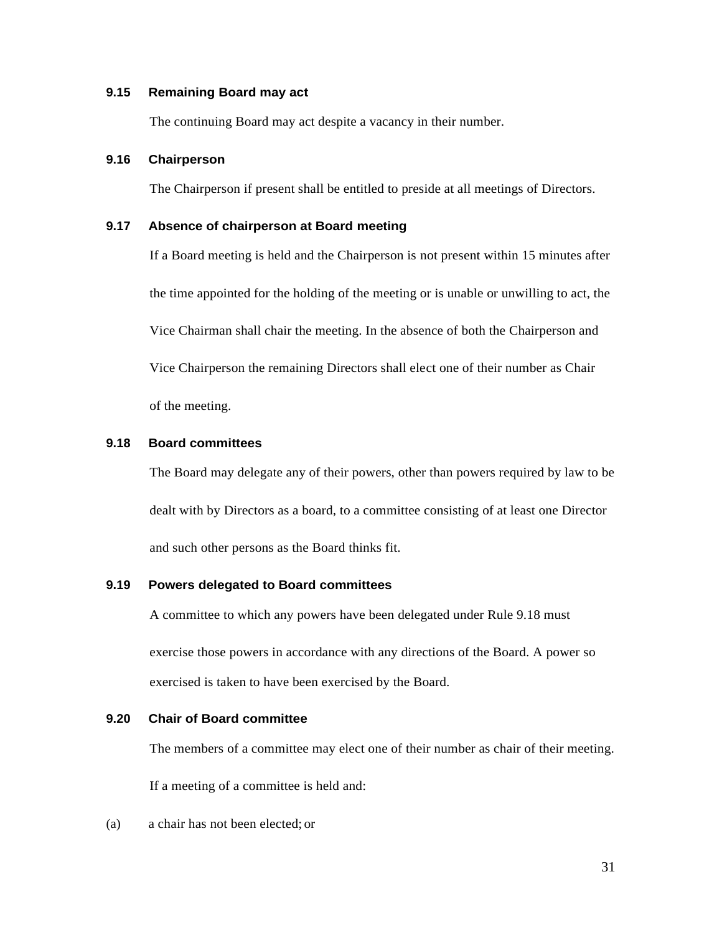### **9.15 Remaining Board may act**

The continuing Board may act despite a vacancy in their number.

### **9.16 Chairperson**

The Chairperson if present shall be entitled to preside at all meetings of Directors.

### **9.17 Absence of chairperson at Board meeting**

If a Board meeting is held and the Chairperson is not present within 15 minutes after the time appointed for the holding of the meeting or is unable or unwilling to act, the Vice Chairman shall chair the meeting. In the absence of both the Chairperson and Vice Chairperson the remaining Directors shall elect one of their number as Chair of the meeting.

### **9.18 Board committees**

The Board may delegate any of their powers, other than powers required by law to be dealt with by Directors as a board, to a committee consisting of at least one Director and such other persons as the Board thinks fit.

### **9.19 Powers delegated to Board committees**

A committee to which any powers have been delegated under Rule 9.18 must exercise those powers in accordance with any directions of the Board. A power so exercised is taken to have been exercised by the Board.

### **9.20 Chair of Board committee**

The members of a committee may elect one of their number as chair of their meeting.

If a meeting of a committee is held and:

(a) a chair has not been elected; or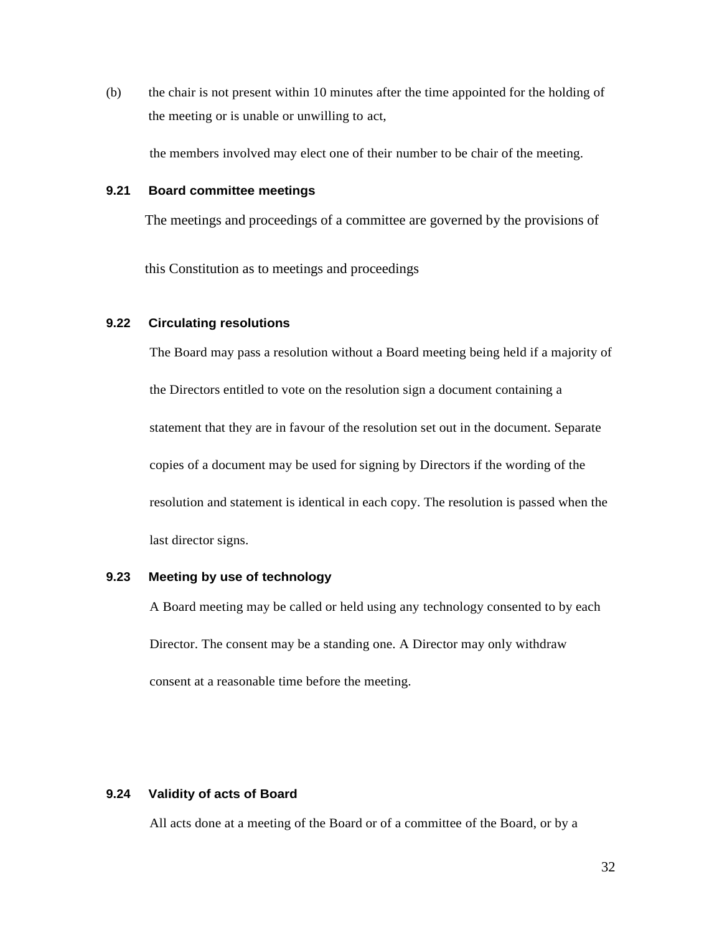(b) the chair is not present within 10 minutes after the time appointed for the holding of the meeting or is unable or unwilling to act,

the members involved may elect one of their number to be chair of the meeting.

### **9.21 Board committee meetings**

The meetings and proceedings of a committee are governed by the provisions of

this Constitution as to meetings and proceedings

### **9.22 Circulating resolutions**

The Board may pass a resolution without a Board meeting being held if a majority of the Directors entitled to vote on the resolution sign a document containing a statement that they are in favour of the resolution set out in the document. Separate copies of a document may be used for signing by Directors if the wording of the resolution and statement is identical in each copy. The resolution is passed when the last director signs.

### **9.23 Meeting by use of technology**

A Board meeting may be called or held using any technology consented to by each Director. The consent may be a standing one. A Director may only withdraw consent at a reasonable time before the meeting.

### **9.24 Validity of acts of Board**

All acts done at a meeting of the Board or of a committee of the Board, or by a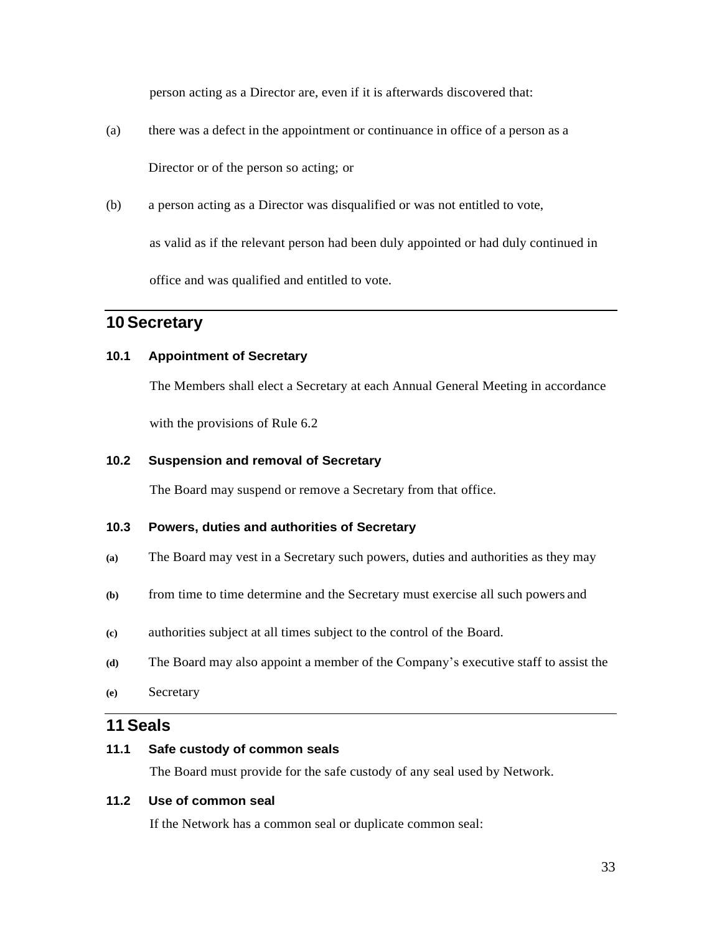person acting as a Director are, even if it is afterwards discovered that:

- (a) there was a defect in the appointment or continuance in office of a person as a Director or of the person so acting; or
- (b) a person acting as a Director was disqualified or was not entitled to vote,

as valid as if the relevant person had been duly appointed or had duly continued in office and was qualified and entitled to vote.

# **10 Secretary**

### **10.1 Appointment of Secretary**

The Members shall elect a Secretary at each Annual General Meeting in accordance

with the provisions of Rule 6.2

### **10.2 Suspension and removal of Secretary**

The Board may suspend or remove a Secretary from that office.

### **10.3 Powers, duties and authorities of Secretary**

- **(a)** The Board may vest in a Secretary such powers, duties and authorities as they may
- **(b)** from time to time determine and the Secretary must exercise all such powers and
- **(c)** authorities subject at all times subject to the control of the Board.
- **(d)** The Board may also appoint a member of the Company's executive staff to assist the
- **(e)** Secretary

### **11 Seals**

### **11.1 Safe custody of common seals**

The Board must provide for the safe custody of any seal used by Network.

### **11.2 Use of common seal**

If the Network has a common seal or duplicate common seal: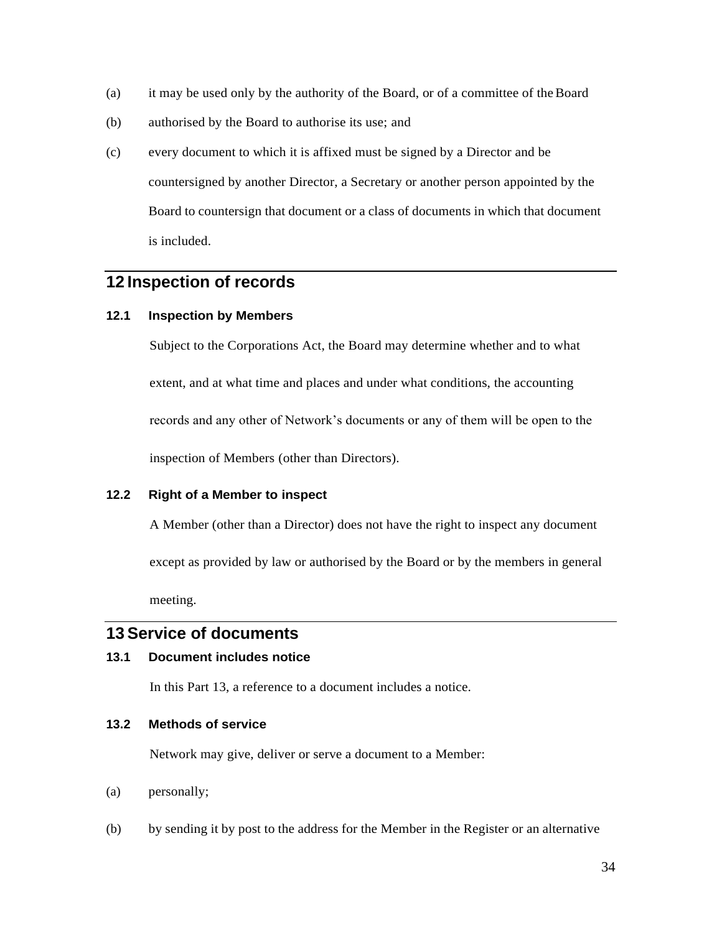- (a) it may be used only by the authority of the Board, or of a committee of theBoard
- (b) authorised by the Board to authorise its use; and
- (c) every document to which it is affixed must be signed by a Director and be countersigned by another Director, a Secretary or another person appointed by the Board to countersign that document or a class of documents in which that document is included.

# **12 Inspection of records**

### **12.1 Inspection by Members**

Subject to the Corporations Act, the Board may determine whether and to what extent, and at what time and places and under what conditions, the accounting records and any other of Network's documents or any of them will be open to the inspection of Members (other than Directors).

### **12.2 Right of a Member to inspect**

A Member (other than a Director) does not have the right to inspect any document

except as provided by law or authorised by the Board or by the members in general

meeting.

### **13 Service of documents**

### **13.1 Document includes notice**

In this Part 13, a reference to a document includes a notice.

### **13.2 Methods of service**

Network may give, deliver or serve a document to a Member:

- (a) personally;
- (b) by sending it by post to the address for the Member in the Register or an alternative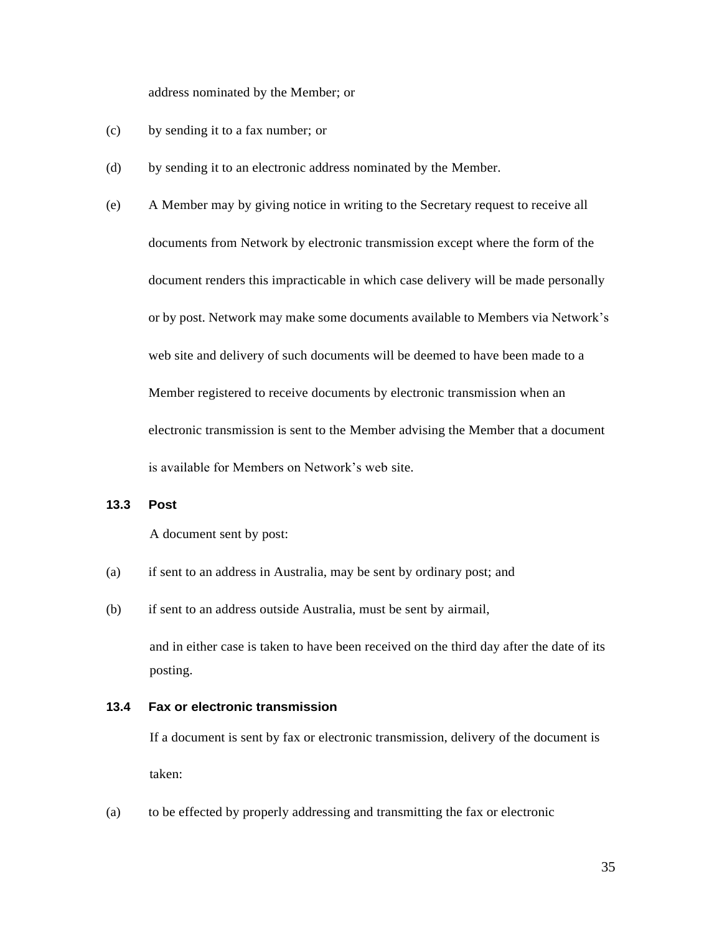address nominated by the Member; or

- (c) by sending it to a fax number; or
- (d) by sending it to an electronic address nominated by the Member.

(e) A Member may by giving notice in writing to the Secretary request to receive all documents from Network by electronic transmission except where the form of the document renders this impracticable in which case delivery will be made personally or by post. Network may make some documents available to Members via Network's web site and delivery of such documents will be deemed to have been made to a Member registered to receive documents by electronic transmission when an electronic transmission is sent to the Member advising the Member that a document is available for Members on Network's web site.

### **13.3 Post**

A document sent by post:

- (a) if sent to an address in Australia, may be sent by ordinary post; and
- (b) if sent to an address outside Australia, must be sent by airmail,

and in either case is taken to have been received on the third day after the date of its posting.

### **13.4 Fax or electronic transmission**

If a document is sent by fax or electronic transmission, delivery of the document is taken:

(a) to be effected by properly addressing and transmitting the fax or electronic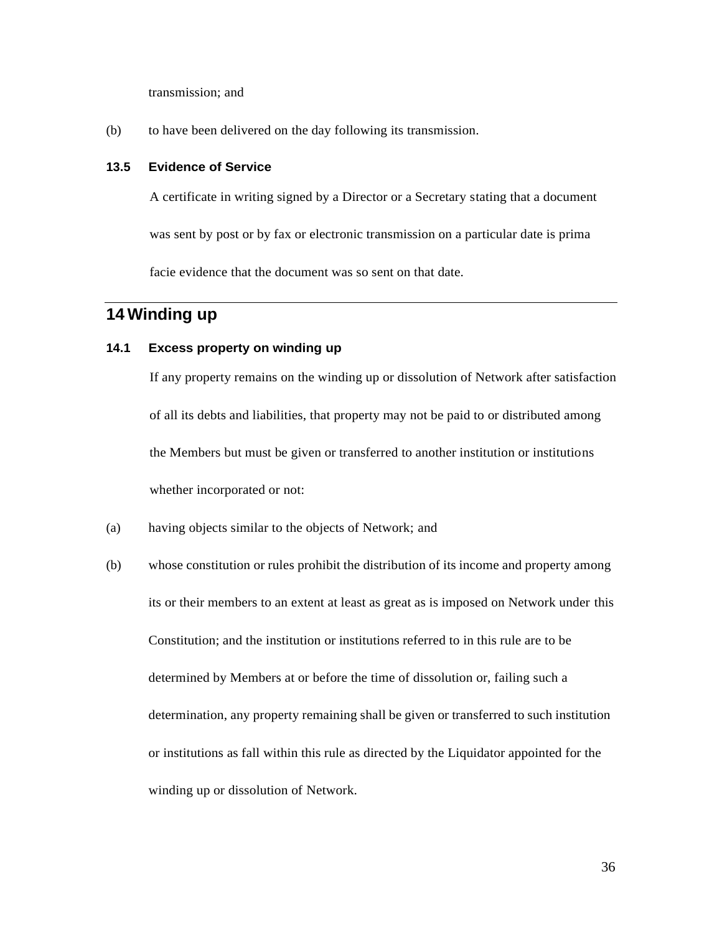transmission; and

(b) to have been delivered on the day following its transmission.

### **13.5 Evidence of Service**

A certificate in writing signed by a Director or a Secretary stating that a document

was sent by post or by fax or electronic transmission on a particular date is prima

facie evidence that the document was so sent on that date.

# **14 Winding up**

### **14.1 Excess property on winding up**

If any property remains on the winding up or dissolution of Network after satisfaction of all its debts and liabilities, that property may not be paid to or distributed among the Members but must be given or transferred to another institution or institutions whether incorporated or not:

- (a) having objects similar to the objects of Network; and
- (b) whose constitution or rules prohibit the distribution of its income and property among its or their members to an extent at least as great as is imposed on Network under this Constitution; and the institution or institutions referred to in this rule are to be determined by Members at or before the time of dissolution or, failing such a determination, any property remaining shall be given or transferred to such institution or institutions as fall within this rule as directed by the Liquidator appointed for the winding up or dissolution of Network.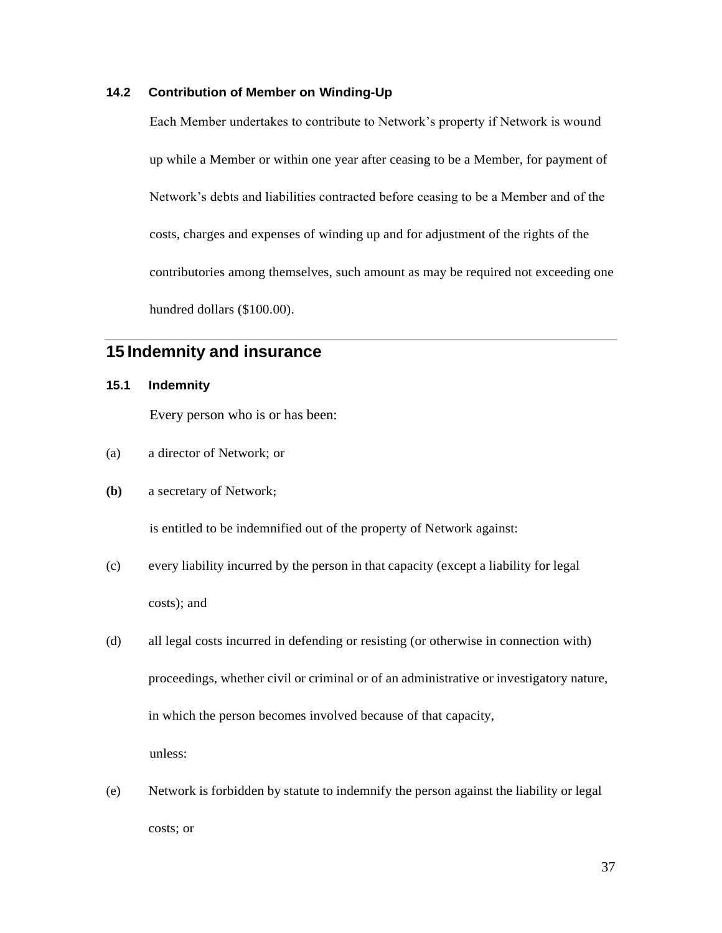### **14.2 Contribution of Member on Winding-Up**

Each Member undertakes to contribute to Network's property if Network is wound up while a Member or within one year after ceasing to be a Member, for payment of Network's debts and liabilities contracted before ceasing to be a Member and of the costs, charges and expenses of winding up and for adjustment of the rights of the contributories among themselves, such amount as may be required not exceeding one hundred dollars (\$100.00).

# **15 Indemnity and insurance**

### **15.1 Indemnity**

Every person who is or has been:

- (a) a director of Network; or
- **(b)** a secretary of Network**;**

is entitled to be indemnified out of the property of Network against:

- (c) every liability incurred by the person in that capacity (except a liability for legal costs); and
- (d) all legal costs incurred in defending or resisting (or otherwise in connection with) proceedings, whether civil or criminal or of an administrative or investigatory nature, in which the person becomes involved because of that capacity, unless:
- (e) Network is forbidden by statute to indemnify the person against the liability or legal costs; or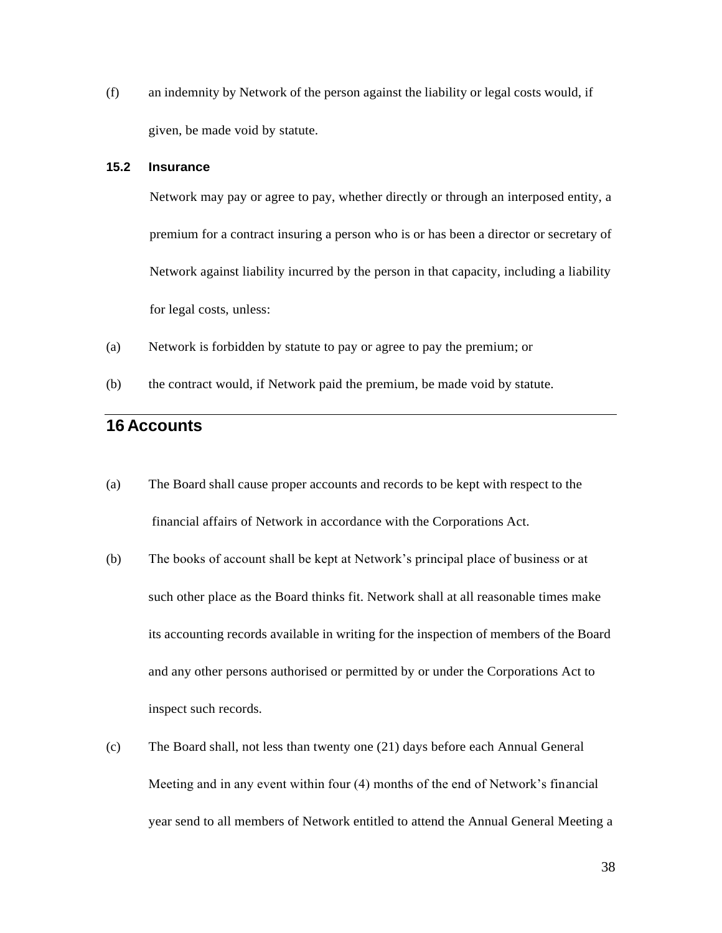(f) an indemnity by Network of the person against the liability or legal costs would, if given, be made void by statute.

### **15.2 Insurance**

Network may pay or agree to pay, whether directly or through an interposed entity, a premium for a contract insuring a person who is or has been a director or secretary of Network against liability incurred by the person in that capacity, including a liability for legal costs, unless:

- (a) Network is forbidden by statute to pay or agree to pay the premium; or
- (b) the contract would, if Network paid the premium, be made void by statute.

### **16 Accounts**

- (a) The Board shall cause proper accounts and records to be kept with respect to the financial affairs of Network in accordance with the Corporations Act.
- (b) The books of account shall be kept at Network's principal place of business or at such other place as the Board thinks fit. Network shall at all reasonable times make its accounting records available in writing for the inspection of members of the Board and any other persons authorised or permitted by or under the Corporations Act to inspect such records.
- (c) The Board shall, not less than twenty one (21) days before each Annual General Meeting and in any event within four (4) months of the end of Network's financial year send to all members of Network entitled to attend the Annual General Meeting a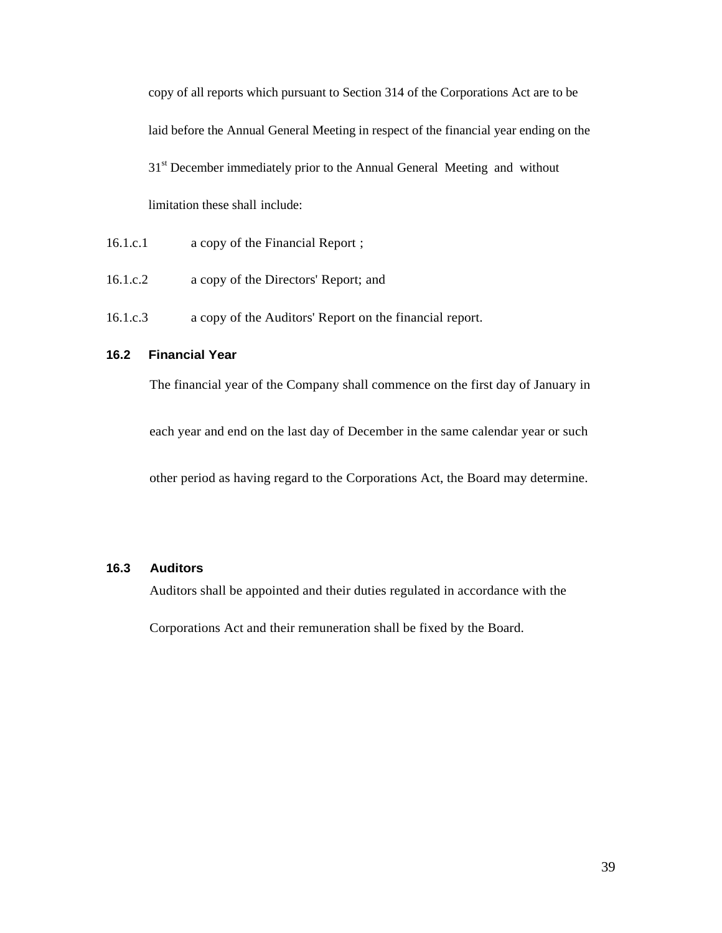copy of all reports which pursuant to Section 314 of the Corporations Act are to be laid before the Annual General Meeting in respect of the financial year ending on the 31<sup>st</sup> December immediately prior to the Annual General Meeting and without limitation these shall include:

- 16.1.c.1 a copy of the Financial Report ;
- 16.1.c.2 a copy of the Directors' Report; and
- 16.1.c.3 a copy of the Auditors' Report on the financial report.

### **16.2 Financial Year**

The financial year of the Company shall commence on the first day of January in

each year and end on the last day of December in the same calendar year or such

other period as having regard to the Corporations Act, the Board may determine.

### **16.3 Auditors**

Auditors shall be appointed and their duties regulated in accordance with the

Corporations Act and their remuneration shall be fixed by the Board.